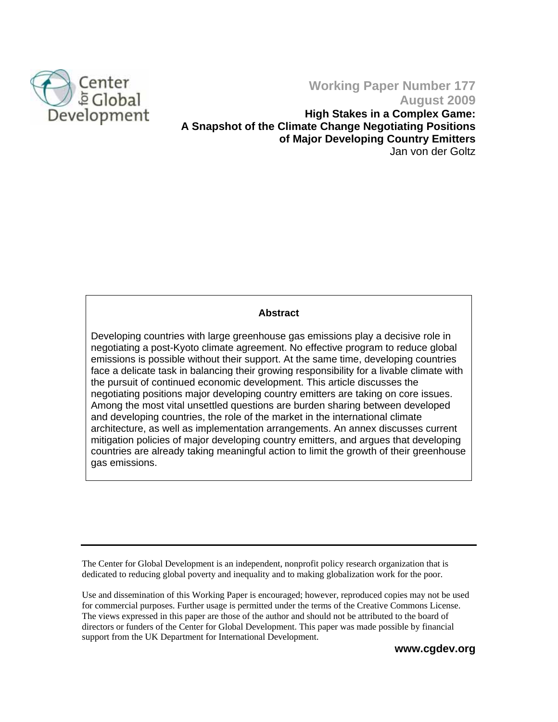

## **Working Paper Number 177 August 2009**

**High Stakes in a Complex Game: A Snapshot of the Climate Change Negotiating Positions of Major Developing Country Emitters**  Jan von der Goltz

## **Abstract**

Developing countries with large greenhouse gas emissions play a decisive role in negotiating a post-Kyoto climate agreement. No effective program to reduce global emissions is possible without their support. At the same time, developing countries face a delicate task in balancing their growing responsibility for a livable climate with the pursuit of continued economic development. This article discusses the negotiating positions major developing country emitters are taking on core issues. Among the most vital unsettled questions are burden sharing between developed and developing countries, the role of the market in the international climate architecture, as well as implementation arrangements. An annex discusses current mitigation policies of major developing country emitters, and argues that developing countries are already taking meaningful action to limit the growth of their greenhouse gas emissions.

The Center for Global Development is an independent, nonprofit policy research organization that is dedicated to reducing global poverty and inequality and to making globalization work for the poor.

Use and dissemination of this Working Paper is encouraged; however, reproduced copies may not be used for commercial purposes. Further usage is permitted under the terms of the Creative Commons License. The views expressed in this paper are those of the author and should not be attributed to the board of directors or funders of the Center for Global Development. This paper was made possible by financial support from the UK Department for International Development.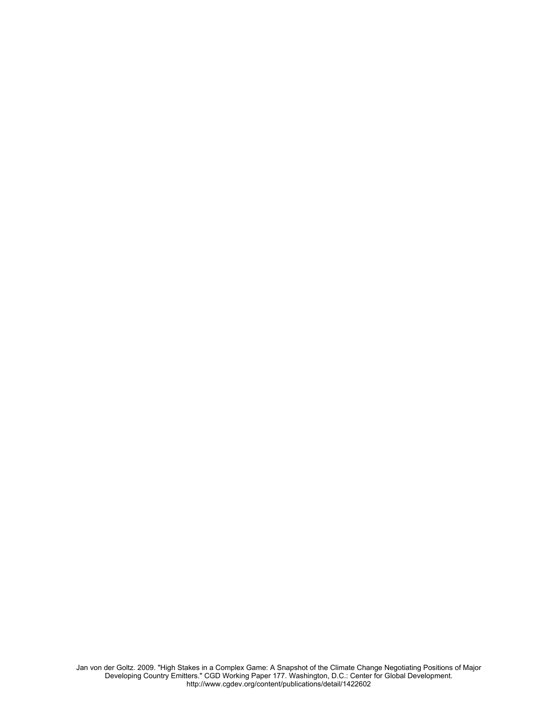Jan von der Goltz. 2009. "High Stakes in a Complex Game: A Snapshot of the Climate Change Negotiating Positions of Major Developing Country Emitters." CGD Working Paper 177. Washington, D.C.: Center for Global Development. <http://www.cgdev.org/content/publications/detail/1422602>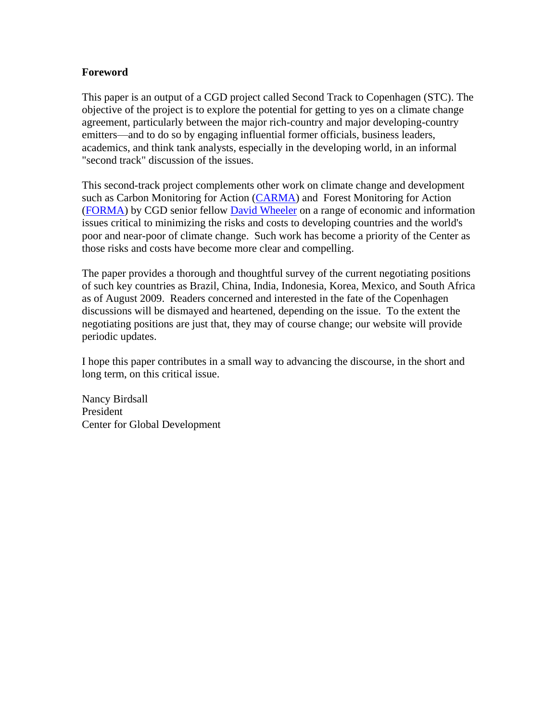## **Foreword**

This paper is an output of a CGD project called Second Track to Copenhagen (STC). The objective of the project is to explore the potential for getting to yes on a climate change agreement, particularly between the major rich-country and major developing-country emitters—and to do so by engaging influential former officials, business leaders, academics, and think tank analysts, especially in the developing world, in an informal "second track" discussion of the issues.

This second-track project complements other work on climate change and development such as Carbon Monitoring for Action [\(CARMA\) a](http://carma.org)nd Forest Monitoring for Action [\(FORMA\)](http://www.cgdev.org/content/article/detail/1422370/) by CGD senior fellow [David Wheeler](http://www.cgdev.org/content/expert/detail/11584/) on a range of economic and information issues critical to minimizing the risks and costs to developing countries and the world's poor and near-poor of climate change. Such work has become a priority of the Center as those risks and costs have become more clear and compelling.

The paper provides a thorough and thoughtful survey of the current negotiating positions of such key countries as Brazil, China, India, Indonesia, Korea, Mexico, and South Africa as of August 2009. Readers concerned and interested in the fate of the Copenhagen discussions will be dismayed and heartened, depending on the issue. To the extent the negotiating positions are just that, they may of course change; our website will provide periodic updates.

I hope this paper contributes in a small way to advancing the discourse, in the short and long term, on this critical issue.

Nancy Birdsall President Center for Global Development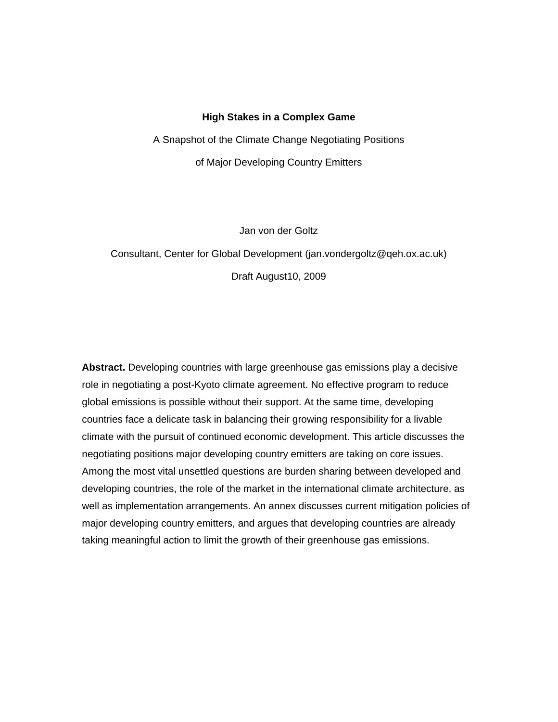## **High Stakes in a Complex Game**

A Snapshot of the Climate Change Negotiating Positions of Major Developing Country Emitters

Jan von der Goltz

# Consultant, Center for Global Development (jan[.vondergoltz@qeh.ox.ac.uk\)](mailto:vondergoltz@qeh.ox.ac.uk) Draft August10, 2009

**Abstract.** Developing countries with large greenhouse gas emissions play a decisive role in negotiating a post-Kyoto climate agreement. No effective program to reduce global emissions is possible without their support. At the same time, developing countries face a delicate task in balancing their growing responsibility for a livable climate with the pursuit of continued economic development. This article discusses the negotiating positions major developing country emitters are taking on core issues. Among the most vital unsettled questions are burden sharing between developed and developing countries, the role of the market in the international climate architecture, as well as implementation arrangements. An annex discusses current mitigation policies of major developing country emitters, and argues that developing countries are already taking meaningful action to limit the growth of their greenhouse gas emissions.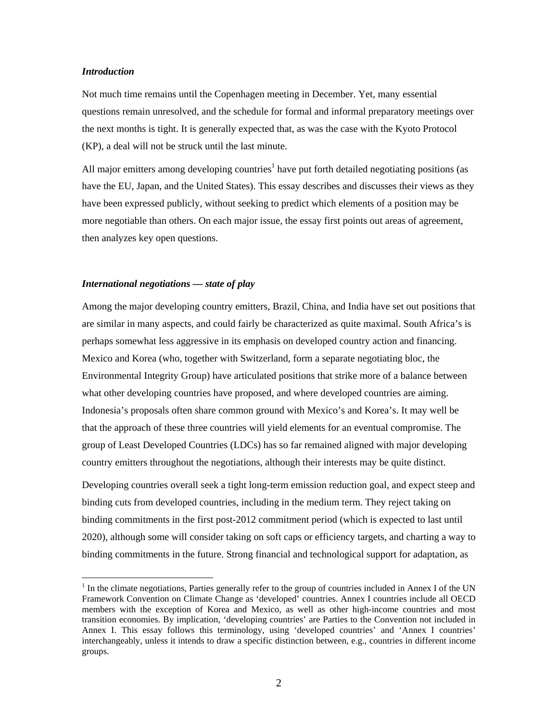#### *Introduction*

 $\overline{a}$ 

Not much time remains until the Copenhagen meeting in December. Yet, many essential questions remain unresolved, and the schedule for formal and informal preparatory meetings over the next months is tight. It is generally expected that, as was the case with the Kyoto Protocol (KP), a deal will not be struck until the last minute.

All major emitters among developing countries<sup>1</sup> have put forth detailed negotiating positions (as have the EU, Japan, and the United States). This essay describes and discusses their views as they have been expressed publicly, without seeking to predict which elements of a position may be more negotiable than others. On each major issue, the essay first points out areas of agreement, then analyzes key open questions.

## *International negotiations — state of play*

Among the major developing country emitters, Brazil, China, and India have set out positions that are similar in many aspects, and could fairly be characterized as quite maximal. South Africa's is perhaps somewhat less aggressive in its emphasis on developed country action and financing. Mexico and Korea (who, together with Switzerland, form a separate negotiating bloc, the Environmental Integrity Group) have articulated positions that strike more of a balance between what other developing countries have proposed, and where developed countries are aiming. Indonesia's proposals often share common ground with Mexico's and Korea's. It may well be that the approach of these three countries will yield elements for an eventual compromise. The group of Least Developed Countries (LDCs) has so far remained aligned with major developing country emitters throughout the negotiations, although their interests may be quite distinct.

Developing countries overall seek a tight long-term emission reduction goal, and expect steep and binding cuts from developed countries, including in the medium term. They reject taking on binding commitments in the first post-2012 commitment period (which is expected to last until 2020), although some will consider taking on soft caps or efficiency targets, and charting a way to binding commitments in the future. Strong financial and technological support for adaptation, as

 $<sup>1</sup>$  In the climate negotiations, Parties generally refer to the group of countries included in Annex I of the UN</sup> Framework Convention on Climate Change as 'developed' countries. Annex I countries include all OECD members with the exception of Korea and Mexico, as well as other high-income countries and most transition economies. By implication, 'developing countries' are Parties to the Convention not included in Annex I. This essay follows this terminology, using 'developed countries' and 'Annex I countries' interchangeably, unless it intends to draw a specific distinction between, e.g., countries in different income groups.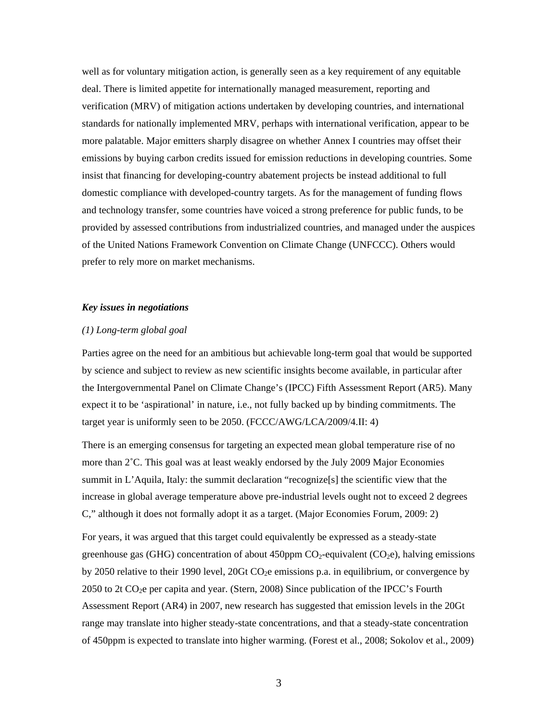well as for voluntary mitigation action, is generally seen as a key requirement of any equitable deal. There is limited appetite for internationally managed measurement, reporting and verification (MRV) of mitigation actions undertaken by developing countries, and international standards for nationally implemented MRV, perhaps with international verification, appear to be more palatable. Major emitters sharply disagree on whether Annex I countries may offset their emissions by buying carbon credits issued for emission reductions in developing countries. Some insist that financing for developing-country abatement projects be instead additional to full domestic compliance with developed-country targets. As for the management of funding flows and technology transfer, some countries have voiced a strong preference for public funds, to be provided by assessed contributions from industrialized countries, and managed under the auspices of the United Nations Framework Convention on Climate Change (UNFCCC). Others would prefer to rely more on market mechanisms.

#### *Key issues in negotiations*

#### *(1) Long-term global goal*

Parties agree on the need for an ambitious but achievable long-term goal that would be supported by science and subject to review as new scientific insights become available, in particular after the Intergovernmental Panel on Climate Change's (IPCC) Fifth Assessment Report (AR5). Many expect it to be 'aspirational' in nature, i.e., not fully backed up by binding commitments. The target year is uniformly seen to be 2050. (FCCC/AWG/LCA/2009/4.II: 4)

There is an emerging consensus for targeting an expected mean global temperature rise of no more than 2˚C. This goal was at least weakly endorsed by the July 2009 Major Economies summit in L'Aquila, Italy: the summit declaration "recognize[s] the scientific view that the increase in global average temperature above pre-industrial levels ought not to exceed 2 degrees C," although it does not formally adopt it as a target. (Major Economies Forum, 2009: 2)

For years, it was argued that this target could equivalently be expressed as a steady-state greenhouse gas (GHG) concentration of about 450ppm  $CO<sub>2</sub>$ -equivalent ( $CO<sub>2</sub>e$ ), halving emissions by 2050 relative to their 1990 level,  $20Gt CO<sub>2</sub>e$  emissions p.a. in equilibrium, or convergence by 2050 to 2t  $CO<sub>2</sub>e$  per capita and year. (Stern, 2008) Since publication of the IPCC's Fourth Assessment Report (AR4) in 2007, new research has suggested that emission levels in the 20Gt range may translate into higher steady-state concentrations, and that a steady-state concentration of 450ppm is expected to translate into higher warming. (Forest et al., 2008; Sokolov et al., 2009)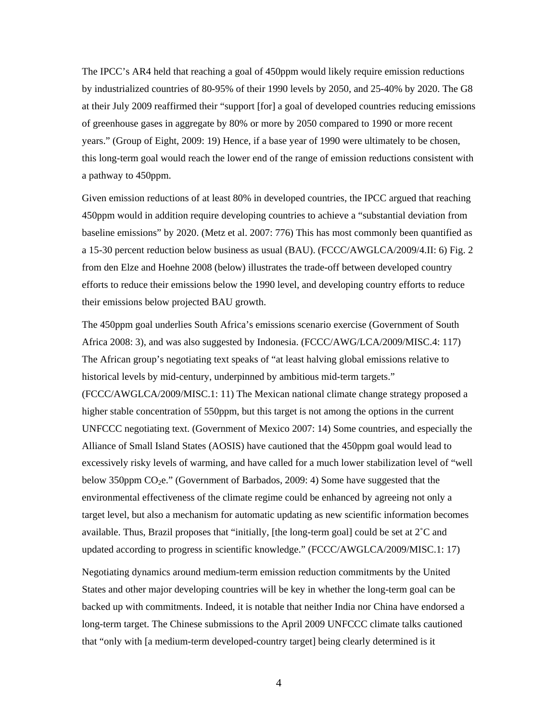The IPCC's AR4 held that reaching a goal of 450ppm would likely require emission reductions by industrialized countries of 80-95% of their 1990 levels by 2050, and 25-40% by 2020. The G8 at their July 2009 reaffirmed their "support [for] a goal of developed countries reducing emissions of greenhouse gases in aggregate by 80% or more by 2050 compared to 1990 or more recent years." (Group of Eight, 2009: 19) Hence, if a base year of 1990 were ultimately to be chosen, this long-term goal would reach the lower end of the range of emission reductions consistent with a pathway to 450ppm.

Given emission reductions of at least 80% in developed countries, the IPCC argued that reaching 450ppm would in addition require developing countries to achieve a "substantial deviation from baseline emissions" by 2020. (Metz et al. 2007: 776) This has most commonly been quantified as a 15-30 percent reduction below business as usual (BAU). (FCCC/AWGLCA/2009/4.II: 6) Fig. 2 from den Elze and Hoehne 2008 (below) illustrates the trade-off between developed country efforts to reduce their emissions below the 1990 level, and developing country efforts to reduce their emissions below projected BAU growth.

The 450ppm goal underlies South Africa's emissions scenario exercise (Government of South Africa 2008: 3), and was also suggested by Indonesia. (FCCC/AWG/LCA/2009/MISC.4: 117) The African group's negotiating text speaks of "at least halving global emissions relative to historical levels by mid-century, underpinned by ambitious mid-term targets." (FCCC/AWGLCA/2009/MISC.1: 11) The Mexican national climate change strategy proposed a higher stable concentration of 550ppm, but this target is not among the options in the current UNFCCC negotiating text. (Government of Mexico 2007: 14) Some countries, and especially the Alliance of Small Island States (AOSIS) have cautioned that the 450ppm goal would lead to excessively risky levels of warming, and have called for a much lower stabilization level of "well below 350ppm CO2e." (Government of Barbados, 2009: 4) Some have suggested that the environmental effectiveness of the climate regime could be enhanced by agreeing not only a target level, but also a mechanism for automatic updating as new scientific information becomes available. Thus, Brazil proposes that "initially, [the long-term goal] could be set at  $2^{\circ}C$  and updated according to progress in scientific knowledge." (FCCC/AWGLCA/2009/MISC.1: 17)

Negotiating dynamics around medium-term emission reduction commitments by the United States and other major developing countries will be key in whether the long-term goal can be backed up with commitments. Indeed, it is notable that neither India nor China have endorsed a long-term target. The Chinese submissions to the April 2009 UNFCCC climate talks cautioned that "only with [a medium-term developed-country target] being clearly determined is it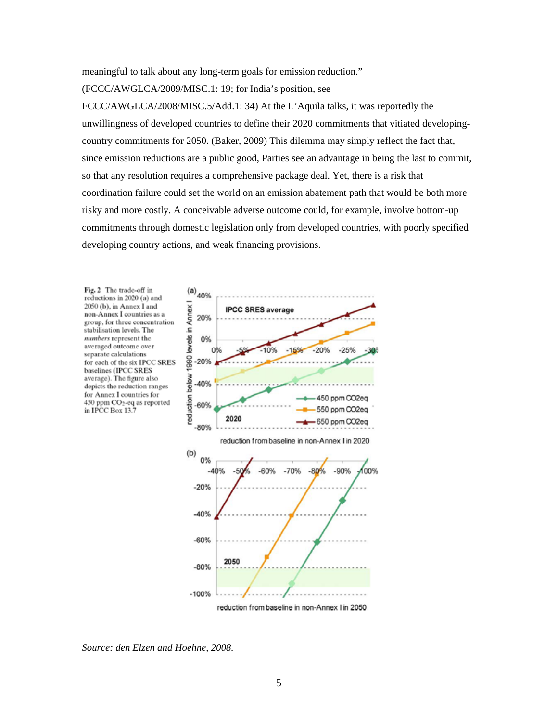meaningful to talk about any long-term goals for emission reduction."

(FCCC/AWGLCA/2009/MISC.1: 19; for India's position, see

FCCC/AWGLCA/2008/MISC.5/Add.1: 34) At the L'Aquila talks, it was reportedly the unwillingness of developed countries to define their 2020 commitments that vitiated developingcountry commitments for 2050. (Baker, 2009) This dilemma may simply reflect the fact that, since emission reductions are a public good, Parties see an advantage in being the last to commit, so that any resolution requires a comprehensive package deal. Yet, there is a risk that coordination failure could set the world on an emission abatement path that would be both more risky and more costly. A conceivable adverse outcome could, for example, involve bottom-up commitments through domestic legislation only from developed countries, with poorly specified developing country actions, and weak financing provisions.

Fig. 2 The trade-off in reductions in 2020 (a) and 2050 (b), in Annex I and non-Annex I countries as a group, for three concentration stabilisation levels. The numbers represent the averaged outcome over separate calculations for each of the six IPCC SRES baselines (IPCC SRES average). The figure also depicts the reduction ranges for Annex I countries for 450 ppm CO<sub>2</sub>-eq as reported in IPCC Box 13.7



*Source: den Elzen and Hoehne, 2008.*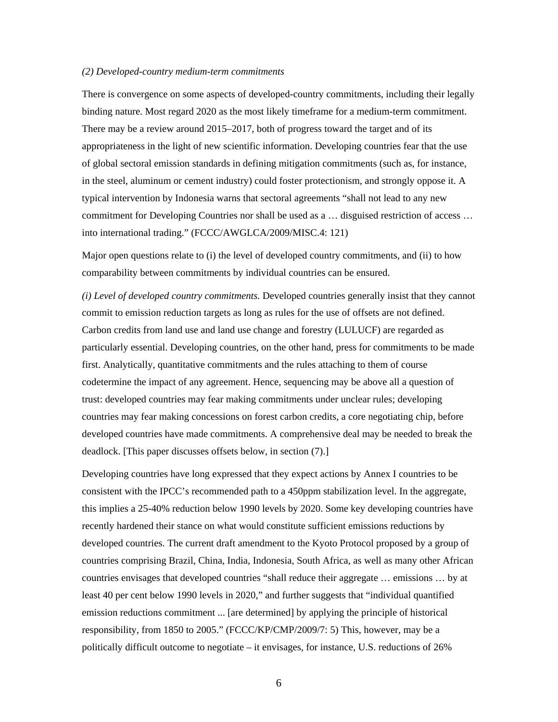#### *(2) Developed-country medium-term commitments*

There is convergence on some aspects of developed-country commitments, including their legally binding nature. Most regard 2020 as the most likely timeframe for a medium-term commitment. There may be a review around 2015–2017, both of progress toward the target and of its appropriateness in the light of new scientific information. Developing countries fear that the use of global sectoral emission standards in defining mitigation commitments (such as, for instance, in the steel, aluminum or cement industry) could foster protectionism, and strongly oppose it. A typical intervention by Indonesia warns that sectoral agreements "shall not lead to any new commitment for Developing Countries nor shall be used as a … disguised restriction of access … into international trading." (FCCC/AWGLCA/2009/MISC.4: 121)

Major open questions relate to (i) the level of developed country commitments, and (ii) to how comparability between commitments by individual countries can be ensured.

*(i) Level of developed country commitments.* Developed countries generally insist that they cannot commit to emission reduction targets as long as rules for the use of offsets are not defined. Carbon credits from land use and land use change and forestry (LULUCF) are regarded as particularly essential. Developing countries, on the other hand, press for commitments to be made first. Analytically, quantitative commitments and the rules attaching to them of course codetermine the impact of any agreement. Hence, sequencing may be above all a question of trust: developed countries may fear making commitments under unclear rules; developing countries may fear making concessions on forest carbon credits, a core negotiating chip, before developed countries have made commitments. A comprehensive deal may be needed to break the deadlock. [This paper discusses offsets below, in section (7).]

Developing countries have long expressed that they expect actions by Annex I countries to be consistent with the IPCC's recommended path to a 450ppm stabilization level. In the aggregate, this implies a 25-40% reduction below 1990 levels by 2020. Some key developing countries have recently hardened their stance on what would constitute sufficient emissions reductions by developed countries. The current draft amendment to the Kyoto Protocol proposed by a group of countries comprising Brazil, China, India, Indonesia, South Africa, as well as many other African countries envisages that developed countries "shall reduce their aggregate … emissions … by at least 40 per cent below 1990 levels in 2020," and further suggests that "individual quantified emission reductions commitment ... [are determined] by applying the principle of historical responsibility, from 1850 to 2005." (FCCC/KP/CMP/2009/7: 5) This, however, may be a politically difficult outcome to negotiate – it envisages, for instance, U.S. reductions of 26%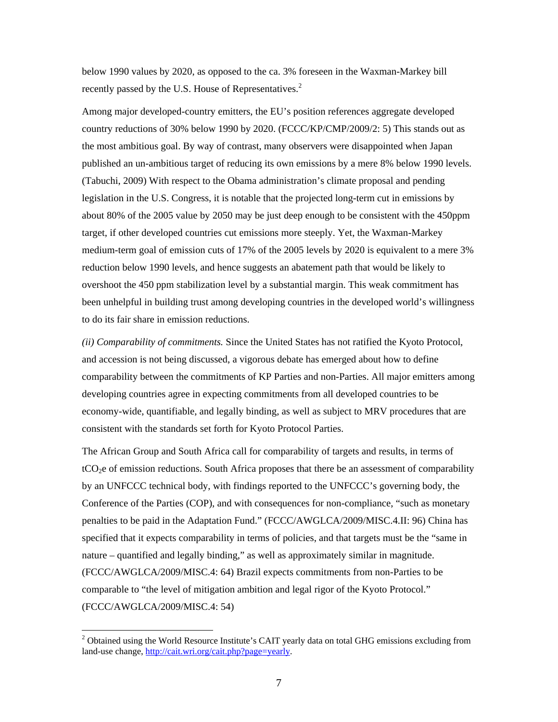below 1990 values by 2020, as opposed to the ca. 3% foreseen in the Waxman-Markey bill recently passed by the U.S. House of Representatives.<sup>2</sup>

Among major developed-country emitters, the EU's position references aggregate developed country reductions of 30% below 1990 by 2020. (FCCC/KP/CMP/2009/2: 5) This stands out as the most ambitious goal. By way of contrast, many observers were disappointed when Japan published an un-ambitious target of reducing its own emissions by a mere 8% below 1990 levels. (Tabuchi, 2009) With respect to the Obama administration's climate proposal and pending legislation in the U.S. Congress, it is notable that the projected long-term cut in emissions by about 80% of the 2005 value by 2050 may be just deep enough to be consistent with the 450ppm target, if other developed countries cut emissions more steeply. Yet, the Waxman-Markey medium-term goal of emission cuts of 17% of the 2005 levels by 2020 is equivalent to a mere 3% reduction below 1990 levels, and hence suggests an abatement path that would be likely to overshoot the 450 ppm stabilization level by a substantial margin. This weak commitment has been unhelpful in building trust among developing countries in the developed world's willingness to do its fair share in emission reductions.

*(ii) Comparability of commitments.* Since the United States has not ratified the Kyoto Protocol, and accession is not being discussed, a vigorous debate has emerged about how to define comparability between the commitments of KP Parties and non-Parties. All major emitters among developing countries agree in expecting commitments from all developed countries to be economy-wide, quantifiable, and legally binding, as well as subject to MRV procedures that are consistent with the standards set forth for Kyoto Protocol Parties.

The African Group and South Africa call for comparability of targets and results, in terms of tCO2e of emission reductions. South Africa proposes that there be an assessment of comparability by an UNFCCC technical body, with findings reported to the UNFCCC's governing body, the Conference of the Parties (COP), and with consequences for non-compliance, "such as monetary penalties to be paid in the Adaptation Fund." (FCCC/AWGLCA/2009/MISC.4.II: 96) China has specified that it expects comparability in terms of policies, and that targets must be the "same in nature – quantified and legally binding," as well as approximately similar in magnitude. (FCCC/AWGLCA/2009/MISC.4: 64) Brazil expects commitments from non-Parties to be comparable to "the level of mitigation ambition and legal rigor of the Kyoto Protocol." (FCCC/AWGLCA/2009/MISC.4: 54)

 $\overline{a}$ 

<sup>&</sup>lt;sup>2</sup> Obtained using the World Resource Institute's CAIT yearly data on total GHG emissions excluding from land-use change, [http://cait.wri.org/cait.php?page=yearly.](http://cait.wri.org/cait.php?page=yearly)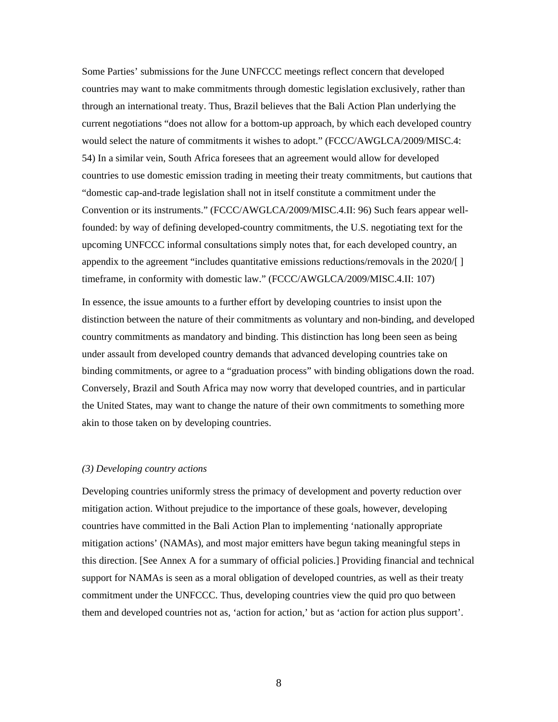Some Parties' submissions for the June UNFCCC meetings reflect concern that developed countries may want to make commitments through domestic legislation exclusively, rather than through an international treaty. Thus, Brazil believes that the Bali Action Plan underlying the current negotiations "does not allow for a bottom-up approach, by which each developed country would select the nature of commitments it wishes to adopt." (FCCC/AWGLCA/2009/MISC.4: 54) In a similar vein, South Africa foresees that an agreement would allow for developed countries to use domestic emission trading in meeting their treaty commitments, but cautions that "domestic cap-and-trade legislation shall not in itself constitute a commitment under the Convention or its instruments." (FCCC/AWGLCA/2009/MISC.4.II: 96) Such fears appear wellfounded: by way of defining developed-country commitments, the U.S. negotiating text for the upcoming UNFCCC informal consultations simply notes that, for each developed country, an appendix to the agreement "includes quantitative emissions reductions/removals in the 2020/[ ] timeframe, in conformity with domestic law." (FCCC/AWGLCA/2009/MISC.4.II: 107)

In essence, the issue amounts to a further effort by developing countries to insist upon the distinction between the nature of their commitments as voluntary and non-binding, and developed country commitments as mandatory and binding. This distinction has long been seen as being under assault from developed country demands that advanced developing countries take on binding commitments, or agree to a "graduation process" with binding obligations down the road. Conversely, Brazil and South Africa may now worry that developed countries, and in particular the United States, may want to change the nature of their own commitments to something more akin to those taken on by developing countries.

## *(3) Developing country actions*

Developing countries uniformly stress the primacy of development and poverty reduction over mitigation action. Without prejudice to the importance of these goals, however, developing countries have committed in the Bali Action Plan to implementing 'nationally appropriate mitigation actions' (NAMAs), and most major emitters have begun taking meaningful steps in this direction. [See Annex A for a summary of official policies.] Providing financial and technical support for NAMAs is seen as a moral obligation of developed countries, as well as their treaty commitment under the UNFCCC. Thus, developing countries view the quid pro quo between them and developed countries not as, 'action for action,' but as 'action for action plus support'.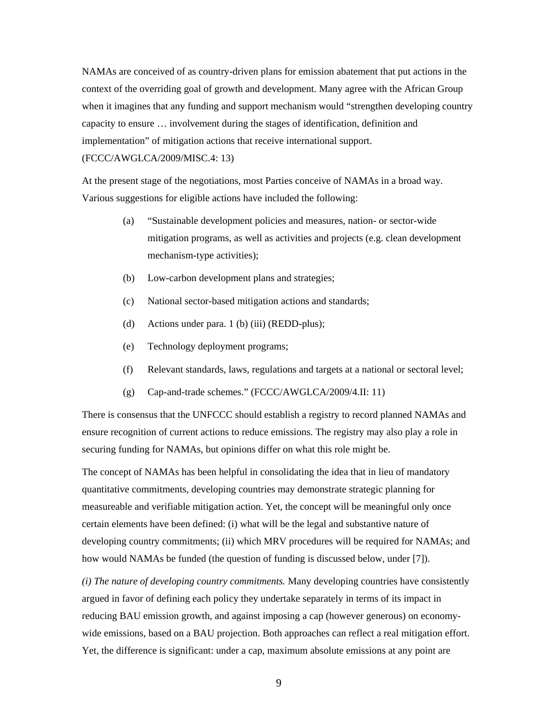NAMAs are conceived of as country-driven plans for emission abatement that put actions in the context of the overriding goal of growth and development. Many agree with the African Group when it imagines that any funding and support mechanism would "strengthen developing country capacity to ensure … involvement during the stages of identification, definition and implementation" of mitigation actions that receive international support. (FCCC/AWGLCA/2009/MISC.4: 13)

At the present stage of the negotiations, most Parties conceive of NAMAs in a broad way. Various suggestions for eligible actions have included the following:

- (a) "Sustainable development policies and measures, nation- or sector-wide mitigation programs, as well as activities and projects (e.g. clean development mechanism-type activities);
- (b) Low-carbon development plans and strategies;
- (c) National sector-based mitigation actions and standards;
- (d) Actions under para. 1 (b) (iii) (REDD-plus);
- (e) Technology deployment programs;
- (f) Relevant standards, laws, regulations and targets at a national or sectoral level;
- (g) Cap-and-trade schemes." (FCCC/AWGLCA/2009/4.II: 11)

There is consensus that the UNFCCC should establish a registry to record planned NAMAs and ensure recognition of current actions to reduce emissions. The registry may also play a role in securing funding for NAMAs, but opinions differ on what this role might be.

The concept of NAMAs has been helpful in consolidating the idea that in lieu of mandatory quantitative commitments, developing countries may demonstrate strategic planning for measureable and verifiable mitigation action. Yet, the concept will be meaningful only once certain elements have been defined: (i) what will be the legal and substantive nature of developing country commitments; (ii) which MRV procedures will be required for NAMAs; and how would NAMAs be funded (the question of funding is discussed below, under [7]).

*(i) The nature of developing country commitments.* Many developing countries have consistently argued in favor of defining each policy they undertake separately in terms of its impact in reducing BAU emission growth, and against imposing a cap (however generous) on economywide emissions, based on a BAU projection. Both approaches can reflect a real mitigation effort. Yet, the difference is significant: under a cap, maximum absolute emissions at any point are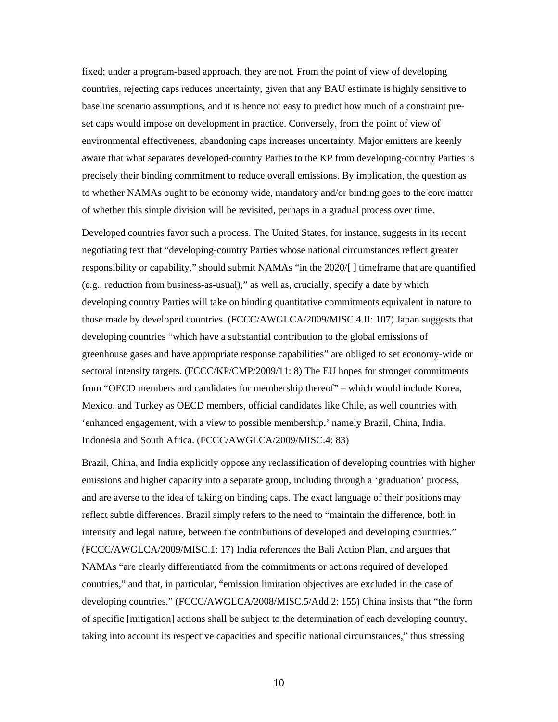fixed; under a program-based approach, they are not. From the point of view of developing countries, rejecting caps reduces uncertainty, given that any BAU estimate is highly sensitive to baseline scenario assumptions, and it is hence not easy to predict how much of a constraint preset caps would impose on development in practice. Conversely, from the point of view of environmental effectiveness, abandoning caps increases uncertainty. Major emitters are keenly aware that what separates developed-country Parties to the KP from developing-country Parties is precisely their binding commitment to reduce overall emissions. By implication, the question as to whether NAMAs ought to be economy wide, mandatory and/or binding goes to the core matter of whether this simple division will be revisited, perhaps in a gradual process over time.

Developed countries favor such a process. The United States, for instance, suggests in its recent negotiating text that "developing-country Parties whose national circumstances reflect greater responsibility or capability," should submit NAMAs "in the 2020/[ ] timeframe that are quantified (e.g., reduction from business-as-usual)," as well as, crucially, specify a date by which developing country Parties will take on binding quantitative commitments equivalent in nature to those made by developed countries. (FCCC/AWGLCA/2009/MISC.4.II: 107) Japan suggests that developing countries "which have a substantial contribution to the global emissions of greenhouse gases and have appropriate response capabilities" are obliged to set economy-wide or sectoral intensity targets. (FCCC/KP/CMP/2009/11: 8) The EU hopes for stronger commitments from "OECD members and candidates for membership thereof" – which would include Korea, Mexico, and Turkey as OECD members, official candidates like Chile, as well countries with 'enhanced engagement, with a view to possible membership,' namely Brazil, China, India, Indonesia and South Africa. (FCCC/AWGLCA/2009/MISC.4: 83)

Brazil, China, and India explicitly oppose any reclassification of developing countries with higher emissions and higher capacity into a separate group, including through a 'graduation' process, and are averse to the idea of taking on binding caps. The exact language of their positions may reflect subtle differences. Brazil simply refers to the need to "maintain the difference, both in intensity and legal nature, between the contributions of developed and developing countries." (FCCC/AWGLCA/2009/MISC.1: 17) India references the Bali Action Plan, and argues that NAMAs "are clearly differentiated from the commitments or actions required of developed countries," and that, in particular, "emission limitation objectives are excluded in the case of developing countries." (FCCC/AWGLCA/2008/MISC.5/Add.2: 155) China insists that "the form of specific [mitigation] actions shall be subject to the determination of each developing country, taking into account its respective capacities and specific national circumstances," thus stressing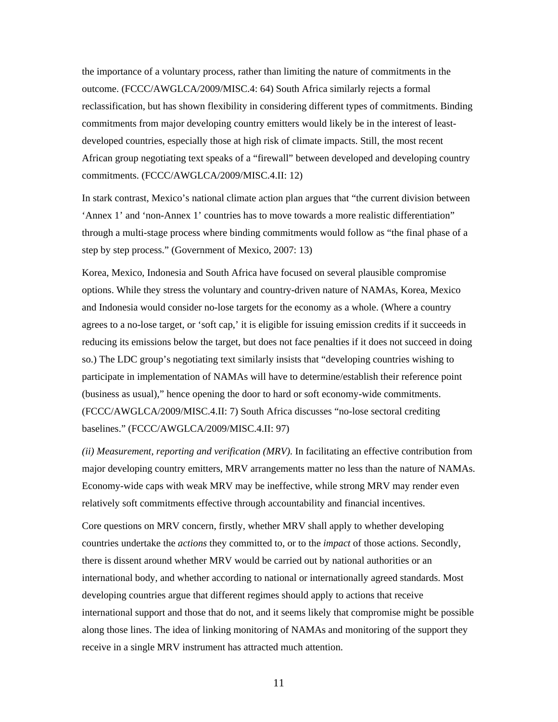the importance of a voluntary process, rather than limiting the nature of commitments in the outcome. (FCCC/AWGLCA/2009/MISC.4: 64) South Africa similarly rejects a formal reclassification, but has shown flexibility in considering different types of commitments. Binding commitments from major developing country emitters would likely be in the interest of leastdeveloped countries, especially those at high risk of climate impacts. Still, the most recent African group negotiating text speaks of a "firewall" between developed and developing country commitments. (FCCC/AWGLCA/2009/MISC.4.II: 12)

In stark contrast, Mexico's national climate action plan argues that "the current division between 'Annex 1' and 'non-Annex 1' countries has to move towards a more realistic differentiation" through a multi-stage process where binding commitments would follow as "the final phase of a step by step process." (Government of Mexico, 2007: 13)

Korea, Mexico, Indonesia and South Africa have focused on several plausible compromise options. While they stress the voluntary and country-driven nature of NAMAs, Korea, Mexico and Indonesia would consider no-lose targets for the economy as a whole. (Where a country agrees to a no-lose target, or 'soft cap,' it is eligible for issuing emission credits if it succeeds in reducing its emissions below the target, but does not face penalties if it does not succeed in doing so.) The LDC group's negotiating text similarly insists that "developing countries wishing to participate in implementation of NAMAs will have to determine/establish their reference point (business as usual)," hence opening the door to hard or soft economy-wide commitments. (FCCC/AWGLCA/2009/MISC.4.II: 7) South Africa discusses "no-lose sectoral crediting baselines." (FCCC/AWGLCA/2009/MISC.4.II: 97)

*(ii) Measurement, reporting and verification (MRV).* In facilitating an effective contribution from major developing country emitters, MRV arrangements matter no less than the nature of NAMAs. Economy-wide caps with weak MRV may be ineffective, while strong MRV may render even relatively soft commitments effective through accountability and financial incentives.

Core questions on MRV concern, firstly, whether MRV shall apply to whether developing countries undertake the *actions* they committed to, or to the *impact* of those actions. Secondly, there is dissent around whether MRV would be carried out by national authorities or an international body, and whether according to national or internationally agreed standards. Most developing countries argue that different regimes should apply to actions that receive international support and those that do not, and it seems likely that compromise might be possible along those lines. The idea of linking monitoring of NAMAs and monitoring of the support they receive in a single MRV instrument has attracted much attention.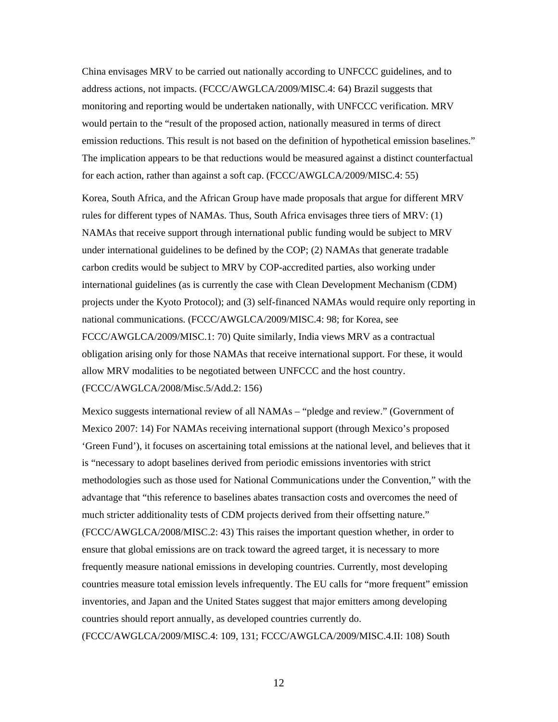China envisages MRV to be carried out nationally according to UNFCCC guidelines, and to address actions, not impacts. (FCCC/AWGLCA/2009/MISC.4: 64) Brazil suggests that monitoring and reporting would be undertaken nationally, with UNFCCC verification. MRV would pertain to the "result of the proposed action, nationally measured in terms of direct emission reductions. This result is not based on the definition of hypothetical emission baselines." The implication appears to be that reductions would be measured against a distinct counterfactual for each action, rather than against a soft cap. (FCCC/AWGLCA/2009/MISC.4: 55)

Korea, South Africa, and the African Group have made proposals that argue for different MRV rules for different types of NAMAs. Thus, South Africa envisages three tiers of MRV: (1) NAMAs that receive support through international public funding would be subject to MRV under international guidelines to be defined by the COP; (2) NAMAs that generate tradable carbon credits would be subject to MRV by COP-accredited parties, also working under international guidelines (as is currently the case with Clean Development Mechanism (CDM) projects under the Kyoto Protocol); and (3) self-financed NAMAs would require only reporting in national communications. (FCCC/AWGLCA/2009/MISC.4: 98; for Korea, see FCCC/AWGLCA/2009/MISC.1: 70) Quite similarly, India views MRV as a contractual obligation arising only for those NAMAs that receive international support. For these, it would allow MRV modalities to be negotiated between UNFCCC and the host country. (FCCC/AWGLCA/2008/Misc.5/Add.2: 156)

Mexico suggests international review of all NAMAs – "pledge and review." (Government of Mexico 2007: 14) For NAMAs receiving international support (through Mexico's proposed 'Green Fund'), it focuses on ascertaining total emissions at the national level, and believes that it is "necessary to adopt baselines derived from periodic emissions inventories with strict methodologies such as those used for National Communications under the Convention," with the advantage that "this reference to baselines abates transaction costs and overcomes the need of much stricter additionality tests of CDM projects derived from their offsetting nature." (FCCC/AWGLCA/2008/MISC.2: 43) This raises the important question whether, in order to ensure that global emissions are on track toward the agreed target, it is necessary to more frequently measure national emissions in developing countries. Currently, most developing countries measure total emission levels infrequently. The EU calls for "more frequent" emission inventories, and Japan and the United States suggest that major emitters among developing countries should report annually, as developed countries currently do. (FCCC/AWGLCA/2009/MISC.4: 109, 131; FCCC/AWGLCA/2009/MISC.4.II: 108) South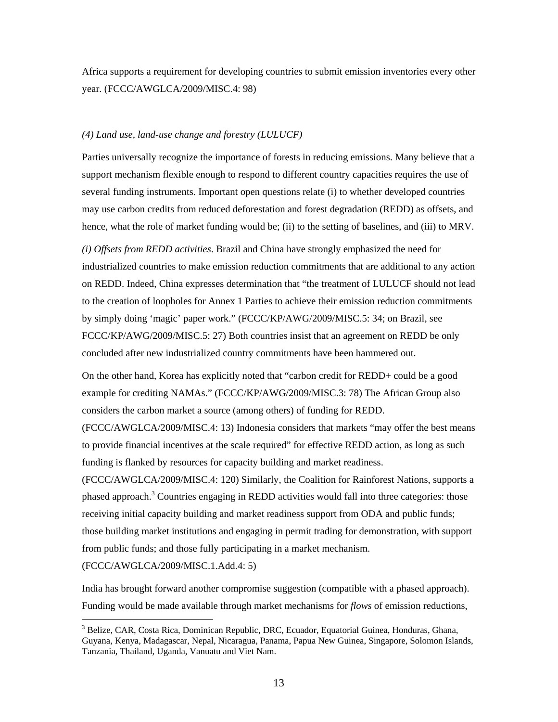Africa supports a requirement for developing countries to submit emission inventories every other year. (FCCC/AWGLCA/2009/MISC.4: 98)

#### *(4) Land use, land-use change and forestry (LULUCF)*

Parties universally recognize the importance of forests in reducing emissions. Many believe that a support mechanism flexible enough to respond to different country capacities requires the use of several funding instruments. Important open questions relate (i) to whether developed countries may use carbon credits from reduced deforestation and forest degradation (REDD) as offsets, and hence, what the role of market funding would be; (ii) to the setting of baselines, and (iii) to MRV.

*(i) Offsets from REDD activities*. Brazil and China have strongly emphasized the need for industrialized countries to make emission reduction commitments that are additional to any action on REDD. Indeed, China expresses determination that "the treatment of LULUCF should not lead to the creation of loopholes for Annex 1 Parties to achieve their emission reduction commitments by simply doing 'magic' paper work." (FCCC/KP/AWG/2009/MISC.5: 34; on Brazil, see FCCC/KP/AWG/2009/MISC.5: 27) Both countries insist that an agreement on REDD be only concluded after new industrialized country commitments have been hammered out.

On the other hand, Korea has explicitly noted that "carbon credit for REDD+ could be a good example for crediting NAMAs." (FCCC/KP/AWG/2009/MISC.3: 78) The African Group also considers the carbon market a source (among others) of funding for REDD.

(FCCC/AWGLCA/2009/MISC.4: 13) Indonesia considers that markets "may offer the best means to provide financial incentives at the scale required" for effective REDD action, as long as such funding is flanked by resources for capacity building and market readiness.

(FCCC/AWGLCA/2009/MISC.4: 120) Similarly, the Coalition for Rainforest Nations, supports a phased approach.<sup>3</sup> Countries engaging in REDD activities would fall into three categories: those receiving initial capacity building and market readiness support from ODA and public funds; those building market institutions and engaging in permit trading for demonstration, with support from public funds; and those fully participating in a market mechanism.

(FCCC/AWGLCA/2009/MISC.1.Add.4: 5)

 $\overline{a}$ 

India has brought forward another compromise suggestion (compatible with a phased approach). Funding would be made available through market mechanisms for *flows* of emission reductions,

<sup>&</sup>lt;sup>3</sup> Belize, CAR, Costa Rica, Dominican Republic, DRC, Ecuador, Equatorial Guinea, Honduras, Ghana, Guyana, Kenya, Madagascar, Nepal, Nicaragua, Panama, Papua New Guinea, Singapore, Solomon Islands, Tanzania, Thailand, Uganda, Vanuatu and Viet Nam.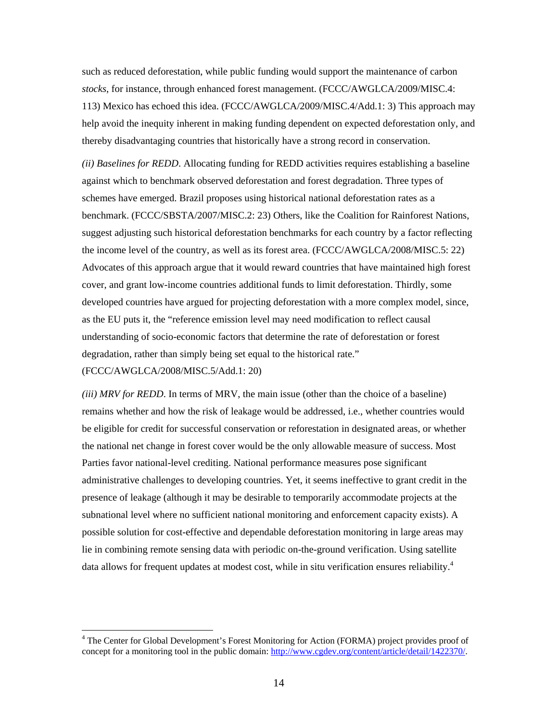such as reduced deforestation, while public funding would support the maintenance of carbon *stocks*, for instance, through enhanced forest management. (FCCC/AWGLCA/2009/MISC.4: 113) Mexico has echoed this idea. (FCCC/AWGLCA/2009/MISC.4/Add.1: 3) This approach may help avoid the inequity inherent in making funding dependent on expected deforestation only, and thereby disadvantaging countries that historically have a strong record in conservation.

*(ii) Baselines for REDD*. Allocating funding for REDD activities requires establishing a baseline against which to benchmark observed deforestation and forest degradation. Three types of schemes have emerged. Brazil proposes using historical national deforestation rates as a benchmark. (FCCC/SBSTA/2007/MISC.2: 23) Others, like the Coalition for Rainforest Nations, suggest adjusting such historical deforestation benchmarks for each country by a factor reflecting the income level of the country, as well as its forest area. (FCCC/AWGLCA/2008/MISC.5: 22) Advocates of this approach argue that it would reward countries that have maintained high forest cover, and grant low-income countries additional funds to limit deforestation. Thirdly, some developed countries have argued for projecting deforestation with a more complex model, since, as the EU puts it, the "reference emission level may need modification to reflect causal understanding of socio-economic factors that determine the rate of deforestation or forest degradation, rather than simply being set equal to the historical rate."

## (FCCC/AWGLCA/2008/MISC.5/Add.1: 20)

 $\overline{a}$ 

*(iii) MRV for REDD*. In terms of MRV, the main issue (other than the choice of a baseline) remains whether and how the risk of leakage would be addressed, i.e., whether countries would be eligible for credit for successful conservation or reforestation in designated areas, or whether the national net change in forest cover would be the only allowable measure of success. Most Parties favor national-level crediting. National performance measures pose significant administrative challenges to developing countries. Yet, it seems ineffective to grant credit in the presence of leakage (although it may be desirable to temporarily accommodate projects at the subnational level where no sufficient national monitoring and enforcement capacity exists). A possible solution for cost-effective and dependable deforestation monitoring in large areas may lie in combining remote sensing data with periodic on-the-ground verification. Using satellite data allows for frequent updates at modest cost, while in situ verification ensures reliability.<sup>4</sup>

<sup>&</sup>lt;sup>4</sup> The Center for Global Development's Forest Monitoring for Action (FORMA) project provides proof of concept for a monitoring tool in the public domain: [http://www.cgdev.org/content/article/detail/1422370/.](http://www.cgdev.org/content/article/detail/1422370)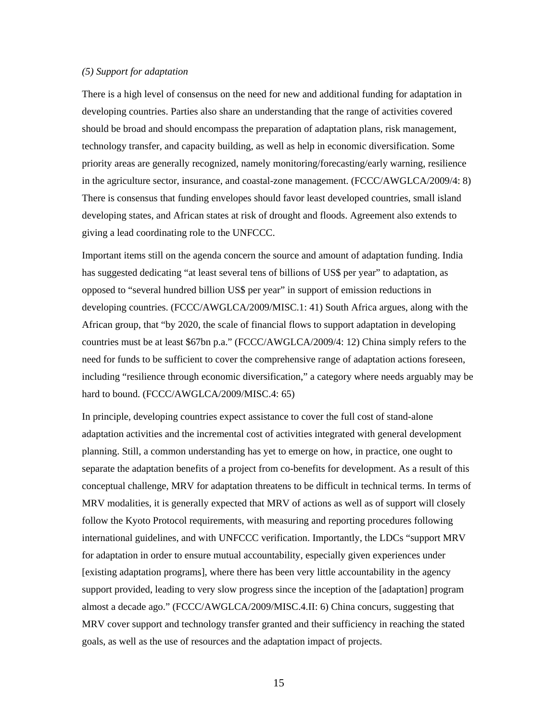#### *(5) Support for adaptation*

There is a high level of consensus on the need for new and additional funding for adaptation in developing countries. Parties also share an understanding that the range of activities covered should be broad and should encompass the preparation of adaptation plans, risk management, technology transfer, and capacity building, as well as help in economic diversification. Some priority areas are generally recognized, namely monitoring/forecasting/early warning, resilience in the agriculture sector, insurance, and coastal-zone management. (FCCC/AWGLCA/2009/4: 8) There is consensus that funding envelopes should favor least developed countries, small island developing states, and African states at risk of drought and floods. Agreement also extends to giving a lead coordinating role to the UNFCCC.

Important items still on the agenda concern the source and amount of adaptation funding. India has suggested dedicating "at least several tens of billions of US\$ per year" to adaptation, as opposed to "several hundred billion US\$ per year" in support of emission reductions in developing countries. (FCCC/AWGLCA/2009/MISC.1: 41) South Africa argues, along with the African group, that "by 2020, the scale of financial flows to support adaptation in developing countries must be at least \$67bn p.a." (FCCC/AWGLCA/2009/4: 12) China simply refers to the need for funds to be sufficient to cover the comprehensive range of adaptation actions foreseen, including "resilience through economic diversification," a category where needs arguably may be hard to bound. (FCCC/AWGLCA/2009/MISC.4: 65)

In principle, developing countries expect assistance to cover the full cost of stand-alone adaptation activities and the incremental cost of activities integrated with general development planning. Still, a common understanding has yet to emerge on how, in practice, one ought to separate the adaptation benefits of a project from co-benefits for development. As a result of this conceptual challenge, MRV for adaptation threatens to be difficult in technical terms. In terms of MRV modalities, it is generally expected that MRV of actions as well as of support will closely follow the Kyoto Protocol requirements, with measuring and reporting procedures following international guidelines, and with UNFCCC verification. Importantly, the LDCs "support MRV for adaptation in order to ensure mutual accountability, especially given experiences under [existing adaptation programs], where there has been very little accountability in the agency support provided, leading to very slow progress since the inception of the [adaptation] program almost a decade ago." (FCCC/AWGLCA/2009/MISC.4.II: 6) China concurs, suggesting that MRV cover support and technology transfer granted and their sufficiency in reaching the stated goals, as well as the use of resources and the adaptation impact of projects.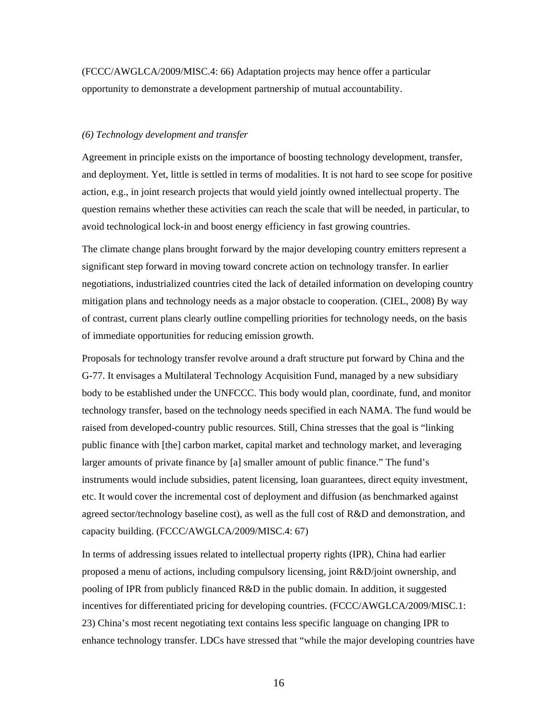(FCCC/AWGLCA/2009/MISC.4: 66) Adaptation projects may hence offer a particular opportunity to demonstrate a development partnership of mutual accountability.

#### *(6) Technology development and transfer*

Agreement in principle exists on the importance of boosting technology development, transfer, and deployment. Yet, little is settled in terms of modalities. It is not hard to see scope for positive action, e.g., in joint research projects that would yield jointly owned intellectual property. The question remains whether these activities can reach the scale that will be needed, in particular, to avoid technological lock-in and boost energy efficiency in fast growing countries.

The climate change plans brought forward by the major developing country emitters represent a significant step forward in moving toward concrete action on technology transfer. In earlier negotiations, industrialized countries cited the lack of detailed information on developing country mitigation plans and technology needs as a major obstacle to cooperation. (CIEL, 2008) By way of contrast, current plans clearly outline compelling priorities for technology needs, on the basis of immediate opportunities for reducing emission growth.

Proposals for technology transfer revolve around a draft structure put forward by China and the G-77. It envisages a Multilateral Technology Acquisition Fund, managed by a new subsidiary body to be established under the UNFCCC. This body would plan, coordinate, fund, and monitor technology transfer, based on the technology needs specified in each NAMA. The fund would be raised from developed-country public resources. Still, China stresses that the goal is "linking public finance with [the] carbon market, capital market and technology market, and leveraging larger amounts of private finance by [a] smaller amount of public finance." The fund's instruments would include subsidies, patent licensing, loan guarantees, direct equity investment, etc. It would cover the incremental cost of deployment and diffusion (as benchmarked against agreed sector/technology baseline cost), as well as the full cost of R&D and demonstration, and capacity building. (FCCC/AWGLCA/2009/MISC.4: 67)

In terms of addressing issues related to intellectual property rights (IPR), China had earlier proposed a menu of actions, including compulsory licensing, joint R&D/joint ownership, and pooling of IPR from publicly financed R&D in the public domain. In addition, it suggested incentives for differentiated pricing for developing countries. (FCCC/AWGLCA/2009/MISC.1: 23) China's most recent negotiating text contains less specific language on changing IPR to enhance technology transfer. LDCs have stressed that "while the major developing countries have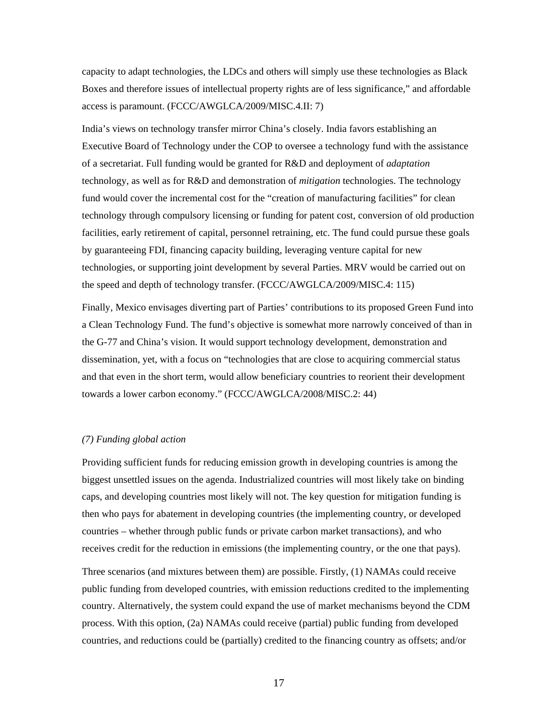capacity to adapt technologies, the LDCs and others will simply use these technologies as Black Boxes and therefore issues of intellectual property rights are of less significance," and affordable access is paramount. (FCCC/AWGLCA/2009/MISC.4.II: 7)

India's views on technology transfer mirror China's closely. India favors establishing an Executive Board of Technology under the COP to oversee a technology fund with the assistance of a secretariat. Full funding would be granted for R&D and deployment of *adaptation* technology, as well as for R&D and demonstration of *mitigation* technologies. The technology fund would cover the incremental cost for the "creation of manufacturing facilities" for clean technology through compulsory licensing or funding for patent cost, conversion of old production facilities, early retirement of capital, personnel retraining, etc. The fund could pursue these goals by guaranteeing FDI, financing capacity building, leveraging venture capital for new technologies, or supporting joint development by several Parties. MRV would be carried out on the speed and depth of technology transfer. (FCCC/AWGLCA/2009/MISC.4: 115)

Finally, Mexico envisages diverting part of Parties' contributions to its proposed Green Fund into a Clean Technology Fund. The fund's objective is somewhat more narrowly conceived of than in the G-77 and China's vision. It would support technology development, demonstration and dissemination, yet, with a focus on "technologies that are close to acquiring commercial status and that even in the short term, would allow beneficiary countries to reorient their development towards a lower carbon economy." (FCCC/AWGLCA/2008/MISC.2: 44)

#### *(7) Funding global action*

Providing sufficient funds for reducing emission growth in developing countries is among the biggest unsettled issues on the agenda. Industrialized countries will most likely take on binding caps, and developing countries most likely will not. The key question for mitigation funding is then who pays for abatement in developing countries (the implementing country, or developed countries – whether through public funds or private carbon market transactions), and who receives credit for the reduction in emissions (the implementing country, or the one that pays).

Three scenarios (and mixtures between them) are possible. Firstly, (1) NAMAs could receive public funding from developed countries, with emission reductions credited to the implementing country. Alternatively, the system could expand the use of market mechanisms beyond the CDM process. With this option, (2a) NAMAs could receive (partial) public funding from developed countries, and reductions could be (partially) credited to the financing country as offsets; and/or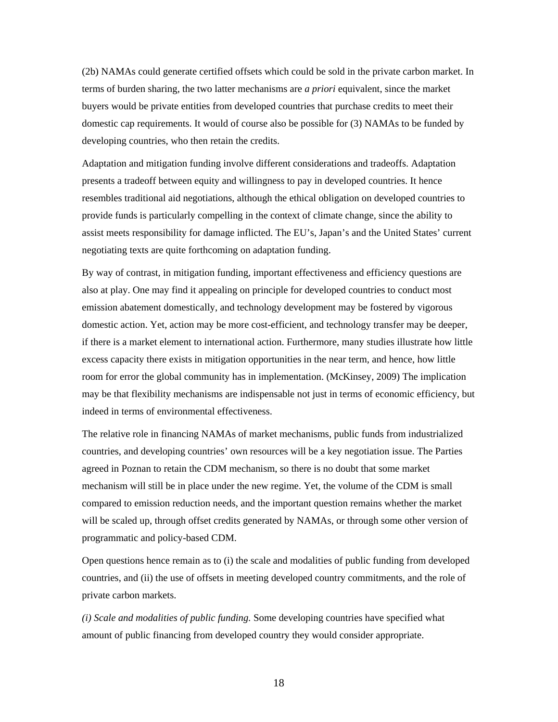(2b) NAMAs could generate certified offsets which could be sold in the private carbon market. In terms of burden sharing, the two latter mechanisms are *a priori* equivalent, since the market buyers would be private entities from developed countries that purchase credits to meet their domestic cap requirements. It would of course also be possible for (3) NAMAs to be funded by developing countries, who then retain the credits.

Adaptation and mitigation funding involve different considerations and tradeoffs. Adaptation presents a tradeoff between equity and willingness to pay in developed countries. It hence resembles traditional aid negotiations, although the ethical obligation on developed countries to provide funds is particularly compelling in the context of climate change, since the ability to assist meets responsibility for damage inflicted. The EU's, Japan's and the United States' current negotiating texts are quite forthcoming on adaptation funding.

By way of contrast, in mitigation funding, important effectiveness and efficiency questions are also at play. One may find it appealing on principle for developed countries to conduct most emission abatement domestically, and technology development may be fostered by vigorous domestic action. Yet, action may be more cost-efficient, and technology transfer may be deeper, if there is a market element to international action. Furthermore, many studies illustrate how little excess capacity there exists in mitigation opportunities in the near term, and hence, how little room for error the global community has in implementation. (McKinsey, 2009) The implication may be that flexibility mechanisms are indispensable not just in terms of economic efficiency, but indeed in terms of environmental effectiveness.

The relative role in financing NAMAs of market mechanisms, public funds from industrialized countries, and developing countries' own resources will be a key negotiation issue. The Parties agreed in Poznan to retain the CDM mechanism, so there is no doubt that some market mechanism will still be in place under the new regime. Yet, the volume of the CDM is small compared to emission reduction needs, and the important question remains whether the market will be scaled up, through offset credits generated by NAMAs, or through some other version of programmatic and policy-based CDM.

Open questions hence remain as to (i) the scale and modalities of public funding from developed countries, and (ii) the use of offsets in meeting developed country commitments, and the role of private carbon markets.

*(i) Scale and modalities of public funding.* Some developing countries have specified what amount of public financing from developed country they would consider appropriate.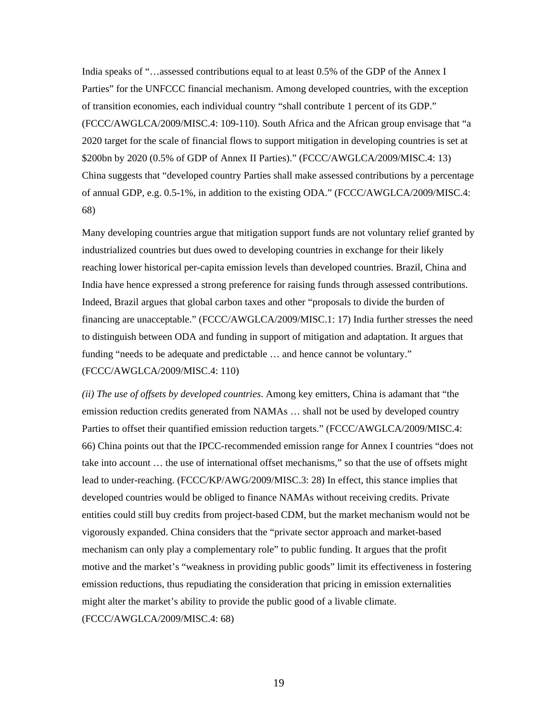India speaks of "…assessed contributions equal to at least 0.5% of the GDP of the Annex I Parties" for the UNFCCC financial mechanism. Among developed countries, with the exception of transition economies, each individual country "shall contribute 1 percent of its GDP." (FCCC/AWGLCA/2009/MISC.4: 109-110). South Africa and the African group envisage that "a 2020 target for the scale of financial flows to support mitigation in developing countries is set at \$200bn by 2020 (0.5% of GDP of Annex II Parties)." (FCCC/AWGLCA/2009/MISC.4: 13) China suggests that "developed country Parties shall make assessed contributions by a percentage of annual GDP, e.g. 0.5-1%, in addition to the existing ODA." (FCCC/AWGLCA/2009/MISC.4: 68)

Many developing countries argue that mitigation support funds are not voluntary relief granted by industrialized countries but dues owed to developing countries in exchange for their likely reaching lower historical per-capita emission levels than developed countries. Brazil, China and India have hence expressed a strong preference for raising funds through assessed contributions. Indeed, Brazil argues that global carbon taxes and other "proposals to divide the burden of financing are unacceptable." (FCCC/AWGLCA/2009/MISC.1: 17) India further stresses the need to distinguish between ODA and funding in support of mitigation and adaptation. It argues that funding "needs to be adequate and predictable … and hence cannot be voluntary." (FCCC/AWGLCA/2009/MISC.4: 110)

*(ii) The use of offsets by developed countries*. Among key emitters, China is adamant that "the emission reduction credits generated from NAMAs … shall not be used by developed country Parties to offset their quantified emission reduction targets." (FCCC/AWGLCA/2009/MISC.4: 66) China points out that the IPCC-recommended emission range for Annex I countries "does not take into account … the use of international offset mechanisms," so that the use of offsets might lead to under-reaching. (FCCC/KP/AWG/2009/MISC.3: 28) In effect, this stance implies that developed countries would be obliged to finance NAMAs without receiving credits. Private entities could still buy credits from project-based CDM, but the market mechanism would not be vigorously expanded. China considers that the "private sector approach and market-based mechanism can only play a complementary role" to public funding. It argues that the profit motive and the market's "weakness in providing public goods" limit its effectiveness in fostering emission reductions, thus repudiating the consideration that pricing in emission externalities might alter the market's ability to provide the public good of a livable climate. (FCCC/AWGLCA/2009/MISC.4: 68)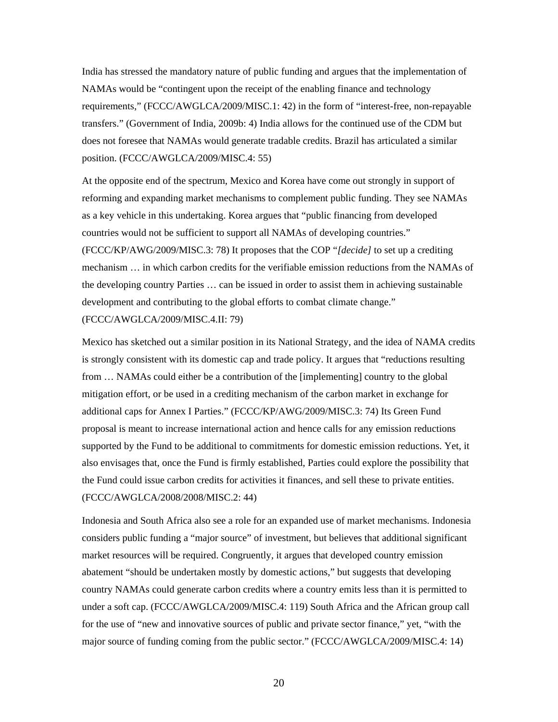India has stressed the mandatory nature of public funding and argues that the implementation of NAMAs would be "contingent upon the receipt of the enabling finance and technology requirements," (FCCC/AWGLCA/2009/MISC.1: 42) in the form of "interest-free, non-repayable transfers." (Government of India, 2009b: 4) India allows for the continued use of the CDM but does not foresee that NAMAs would generate tradable credits. Brazil has articulated a similar position. (FCCC/AWGLCA/2009/MISC.4: 55)

At the opposite end of the spectrum, Mexico and Korea have come out strongly in support of reforming and expanding market mechanisms to complement public funding. They see NAMAs as a key vehicle in this undertaking. Korea argues that "public financing from developed countries would not be sufficient to support all NAMAs of developing countries." (FCCC/KP/AWG/2009/MISC.3: 78) It proposes that the COP "*[decide]* to set up a crediting mechanism … in which carbon credits for the verifiable emission reductions from the NAMAs of the developing country Parties … can be issued in order to assist them in achieving sustainable development and contributing to the global efforts to combat climate change."

(FCCC/AWGLCA/2009/MISC.4.II: 79)

Mexico has sketched out a similar position in its National Strategy, and the idea of NAMA credits is strongly consistent with its domestic cap and trade policy. It argues that "reductions resulting from … NAMAs could either be a contribution of the [implementing] country to the global mitigation effort, or be used in a crediting mechanism of the carbon market in exchange for additional caps for Annex I Parties." (FCCC/KP/AWG/2009/MISC.3: 74) Its Green Fund proposal is meant to increase international action and hence calls for any emission reductions supported by the Fund to be additional to commitments for domestic emission reductions. Yet, it also envisages that, once the Fund is firmly established, Parties could explore the possibility that the Fund could issue carbon credits for activities it finances, and sell these to private entities. (FCCC/AWGLCA/2008/2008/MISC.2: 44)

Indonesia and South Africa also see a role for an expanded use of market mechanisms. Indonesia considers public funding a "major source" of investment, but believes that additional significant market resources will be required. Congruently, it argues that developed country emission abatement "should be undertaken mostly by domestic actions," but suggests that developing country NAMAs could generate carbon credits where a country emits less than it is permitted to under a soft cap. (FCCC/AWGLCA/2009/MISC.4: 119) South Africa and the African group call for the use of "new and innovative sources of public and private sector finance," yet, "with the major source of funding coming from the public sector." (FCCC/AWGLCA/2009/MISC.4: 14)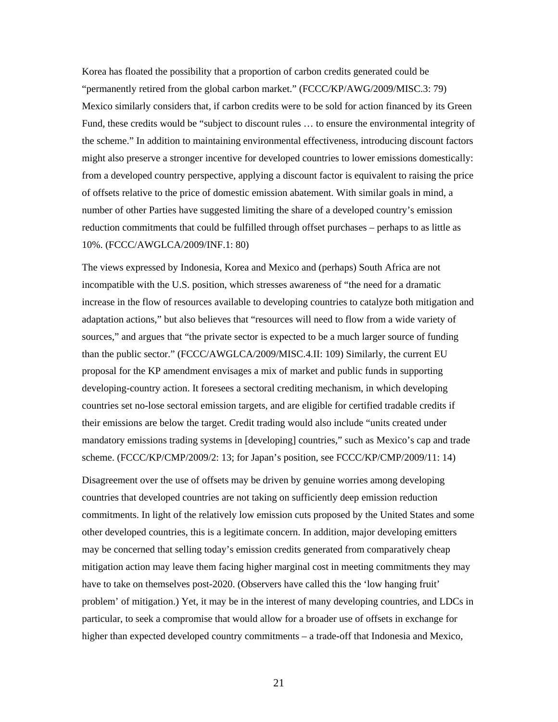Korea has floated the possibility that a proportion of carbon credits generated could be "permanently retired from the global carbon market." (FCCC/KP/AWG/2009/MISC.3: 79) Mexico similarly considers that, if carbon credits were to be sold for action financed by its Green Fund, these credits would be "subject to discount rules … to ensure the environmental integrity of the scheme." In addition to maintaining environmental effectiveness, introducing discount factors might also preserve a stronger incentive for developed countries to lower emissions domestically: from a developed country perspective, applying a discount factor is equivalent to raising the price of offsets relative to the price of domestic emission abatement. With similar goals in mind, a number of other Parties have suggested limiting the share of a developed country's emission reduction commitments that could be fulfilled through offset purchases – perhaps to as little as 10%. (FCCC/AWGLCA/2009/INF.1: 80)

The views expressed by Indonesia, Korea and Mexico and (perhaps) South Africa are not incompatible with the U.S. position, which stresses awareness of "the need for a dramatic increase in the flow of resources available to developing countries to catalyze both mitigation and adaptation actions," but also believes that "resources will need to flow from a wide variety of sources," and argues that "the private sector is expected to be a much larger source of funding than the public sector." (FCCC/AWGLCA/2009/MISC.4.II: 109) Similarly, the current EU proposal for the KP amendment envisages a mix of market and public funds in supporting developing-country action. It foresees a sectoral crediting mechanism, in which developing countries set no-lose sectoral emission targets, and are eligible for certified tradable credits if their emissions are below the target. Credit trading would also include "units created under mandatory emissions trading systems in [developing] countries," such as Mexico's cap and trade scheme. (FCCC/KP/CMP/2009/2: 13; for Japan's position, see FCCC/KP/CMP/2009/11: 14)

Disagreement over the use of offsets may be driven by genuine worries among developing countries that developed countries are not taking on sufficiently deep emission reduction commitments. In light of the relatively low emission cuts proposed by the United States and some other developed countries, this is a legitimate concern. In addition, major developing emitters may be concerned that selling today's emission credits generated from comparatively cheap mitigation action may leave them facing higher marginal cost in meeting commitments they may have to take on themselves post-2020. (Observers have called this the 'low hanging fruit' problem' of mitigation.) Yet, it may be in the interest of many developing countries, and LDCs in particular, to seek a compromise that would allow for a broader use of offsets in exchange for higher than expected developed country commitments – a trade-off that Indonesia and Mexico,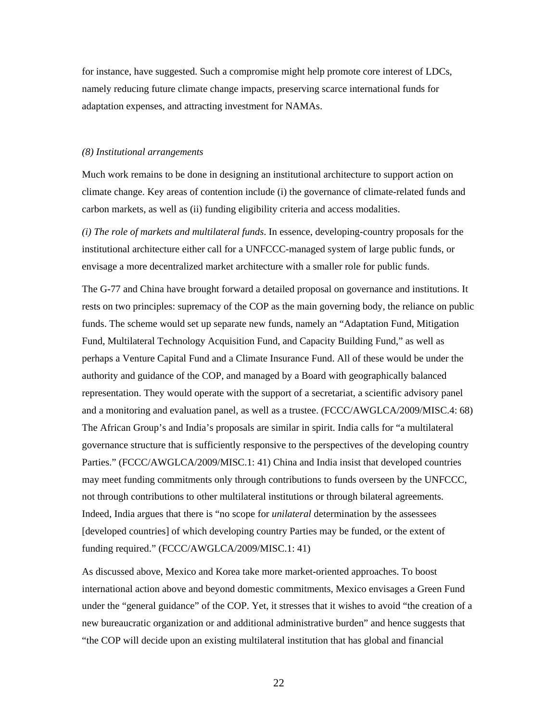for instance, have suggested. Such a compromise might help promote core interest of LDCs, namely reducing future climate change impacts, preserving scarce international funds for adaptation expenses, and attracting investment for NAMAs.

#### *(8) Institutional arrangements*

Much work remains to be done in designing an institutional architecture to support action on climate change. Key areas of contention include (i) the governance of climate-related funds and carbon markets, as well as (ii) funding eligibility criteria and access modalities.

*(i) The role of markets and multilateral funds*. In essence, developing-country proposals for the institutional architecture either call for a UNFCCC-managed system of large public funds, or envisage a more decentralized market architecture with a smaller role for public funds.

The G-77 and China have brought forward a detailed proposal on governance and institutions. It rests on two principles: supremacy of the COP as the main governing body, the reliance on public funds. The scheme would set up separate new funds, namely an "Adaptation Fund, Mitigation Fund, Multilateral Technology Acquisition Fund, and Capacity Building Fund," as well as perhaps a Venture Capital Fund and a Climate Insurance Fund. All of these would be under the authority and guidance of the COP, and managed by a Board with geographically balanced representation. They would operate with the support of a secretariat, a scientific advisory panel and a monitoring and evaluation panel, as well as a trustee. (FCCC/AWGLCA/2009/MISC.4: 68) The African Group's and India's proposals are similar in spirit. India calls for "a multilateral governance structure that is sufficiently responsive to the perspectives of the developing country Parties." (FCCC/AWGLCA/2009/MISC.1: 41) China and India insist that developed countries may meet funding commitments only through contributions to funds overseen by the UNFCCC, not through contributions to other multilateral institutions or through bilateral agreements. Indeed, India argues that there is "no scope for *unilateral* determination by the assessees [developed countries] of which developing country Parties may be funded, or the extent of funding required." (FCCC/AWGLCA/2009/MISC.1: 41)

As discussed above, Mexico and Korea take more market-oriented approaches. To boost international action above and beyond domestic commitments, Mexico envisages a Green Fund under the "general guidance" of the COP. Yet, it stresses that it wishes to avoid "the creation of a new bureaucratic organization or and additional administrative burden" and hence suggests that "the COP will decide upon an existing multilateral institution that has global and financial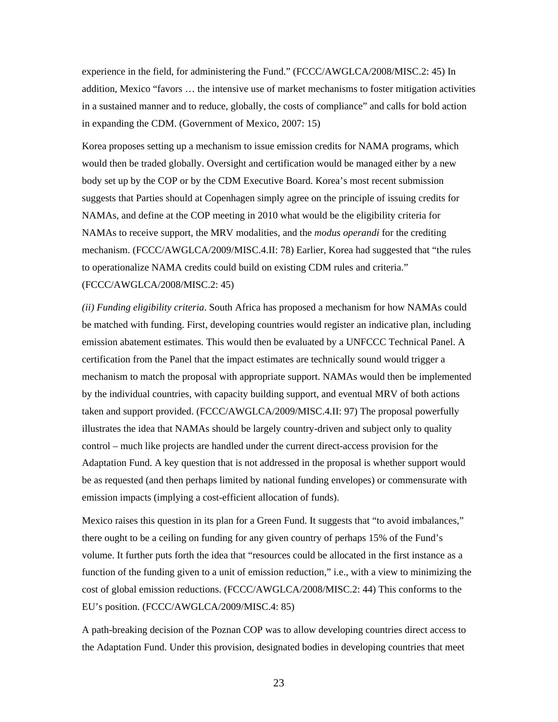experience in the field, for administering the Fund." (FCCC/AWGLCA/2008/MISC.2: 45) In addition, Mexico "favors … the intensive use of market mechanisms to foster mitigation activities in a sustained manner and to reduce, globally, the costs of compliance" and calls for bold action in expanding the CDM. (Government of Mexico, 2007: 15)

Korea proposes setting up a mechanism to issue emission credits for NAMA programs, which would then be traded globally. Oversight and certification would be managed either by a new body set up by the COP or by the CDM Executive Board. Korea's most recent submission suggests that Parties should at Copenhagen simply agree on the principle of issuing credits for NAMAs, and define at the COP meeting in 2010 what would be the eligibility criteria for NAMAs to receive support, the MRV modalities, and the *modus operandi* for the crediting mechanism. (FCCC/AWGLCA/2009/MISC.4.II: 78) Earlier, Korea had suggested that "the rules to operationalize NAMA credits could build on existing CDM rules and criteria." (FCCC/AWGLCA/2008/MISC.2: 45)

*(ii) Funding eligibility criteria*. South Africa has proposed a mechanism for how NAMAs could be matched with funding. First, developing countries would register an indicative plan, including emission abatement estimates. This would then be evaluated by a UNFCCC Technical Panel. A certification from the Panel that the impact estimates are technically sound would trigger a mechanism to match the proposal with appropriate support. NAMAs would then be implemented by the individual countries, with capacity building support, and eventual MRV of both actions taken and support provided. (FCCC/AWGLCA/2009/MISC.4.II: 97) The proposal powerfully illustrates the idea that NAMAs should be largely country-driven and subject only to quality control – much like projects are handled under the current direct-access provision for the Adaptation Fund. A key question that is not addressed in the proposal is whether support would be as requested (and then perhaps limited by national funding envelopes) or commensurate with emission impacts (implying a cost-efficient allocation of funds).

Mexico raises this question in its plan for a Green Fund. It suggests that "to avoid imbalances," there ought to be a ceiling on funding for any given country of perhaps 15% of the Fund's volume. It further puts forth the idea that "resources could be allocated in the first instance as a function of the funding given to a unit of emission reduction," i.e., with a view to minimizing the cost of global emission reductions. (FCCC/AWGLCA/2008/MISC.2: 44) This conforms to the EU's position. (FCCC/AWGLCA/2009/MISC.4: 85)

A path-breaking decision of the Poznan COP was to allow developing countries direct access to the Adaptation Fund. Under this provision, designated bodies in developing countries that meet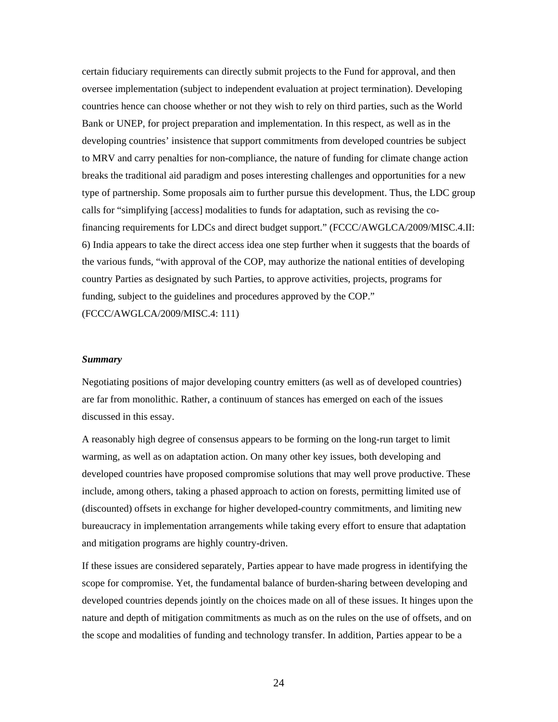certain fiduciary requirements can directly submit projects to the Fund for approval, and then oversee implementation (subject to independent evaluation at project termination). Developing countries hence can choose whether or not they wish to rely on third parties, such as the World Bank or UNEP, for project preparation and implementation. In this respect, as well as in the developing countries' insistence that support commitments from developed countries be subject to MRV and carry penalties for non-compliance, the nature of funding for climate change action breaks the traditional aid paradigm and poses interesting challenges and opportunities for a new type of partnership. Some proposals aim to further pursue this development. Thus, the LDC group calls for "simplifying [access] modalities to funds for adaptation, such as revising the cofinancing requirements for LDCs and direct budget support." (FCCC/AWGLCA/2009/MISC.4.II: 6) India appears to take the direct access idea one step further when it suggests that the boards of the various funds, "with approval of the COP, may authorize the national entities of developing country Parties as designated by such Parties, to approve activities, projects, programs for funding, subject to the guidelines and procedures approved by the COP." (FCCC/AWGLCA/2009/MISC.4: 111)

#### *Summary*

Negotiating positions of major developing country emitters (as well as of developed countries) are far from monolithic. Rather, a continuum of stances has emerged on each of the issues discussed in this essay.

A reasonably high degree of consensus appears to be forming on the long-run target to limit warming, as well as on adaptation action. On many other key issues, both developing and developed countries have proposed compromise solutions that may well prove productive. These include, among others, taking a phased approach to action on forests, permitting limited use of (discounted) offsets in exchange for higher developed-country commitments, and limiting new bureaucracy in implementation arrangements while taking every effort to ensure that adaptation and mitigation programs are highly country-driven.

If these issues are considered separately, Parties appear to have made progress in identifying the scope for compromise. Yet, the fundamental balance of burden-sharing between developing and developed countries depends jointly on the choices made on all of these issues. It hinges upon the nature and depth of mitigation commitments as much as on the rules on the use of offsets, and on the scope and modalities of funding and technology transfer. In addition, Parties appear to be a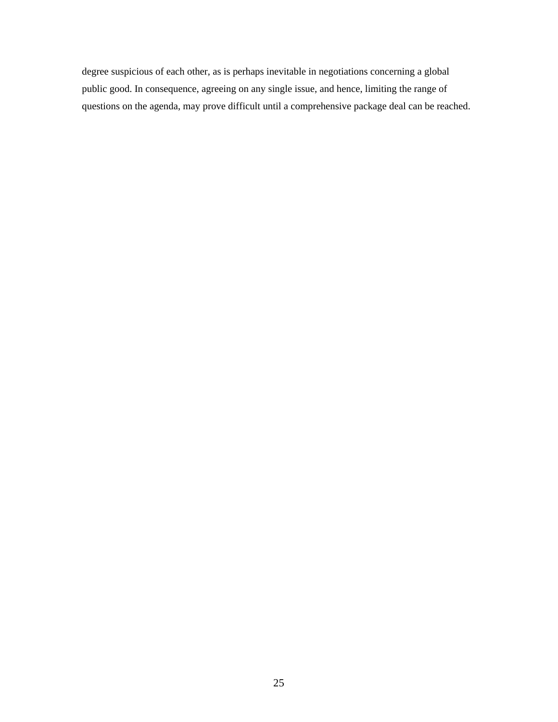degree suspicious of each other, as is perhaps inevitable in negotiations concerning a global public good. In consequence, agreeing on any single issue, and hence, limiting the range of questions on the agenda, may prove difficult until a comprehensive package deal can be reached.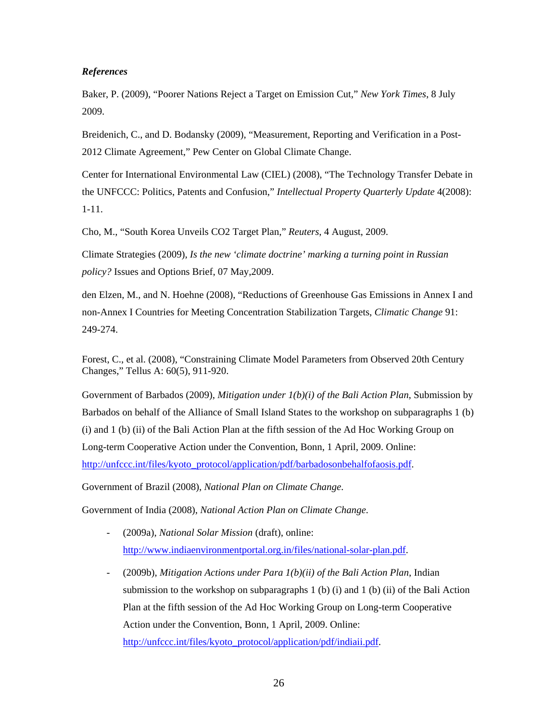## *References*

Baker, P. (2009), "Poorer Nations Reject a Target on Emission Cut," *New York Times*, 8 July 2009.

Breidenich, C., and D. Bodansky (2009), "Measurement, Reporting and Verification in a Post-2012 Climate Agreement," Pew Center on Global Climate Change.

Center for International Environmental Law (CIEL) (2008), "The Technology Transfer Debate in the UNFCCC: Politics, Patents and Confusion," *Intellectual Property Quarterly Update* 4(2008): 1-11.

Cho, M., "South Korea Unveils CO2 Target Plan," *Reuters*, 4 August, 2009.

Climate Strategies (2009), *Is the new 'climate doctrine' marking a turning point in Russian policy?* Issues and Options Brief, 07 May,2009.

den Elzen, M., and N. Hoehne (2008), "Reductions of Greenhouse Gas Emissions in Annex I and non-Annex I Countries for Meeting Concentration Stabilization Targets, *Climatic Change* 91: 249-274.

Forest, C., et al. (2008), "Constraining Climate Model Parameters from Observed 20th Century Changes," Tellus A: 60(5), 911-920.

Government of Barbados (2009), *Mitigation under 1(b)(i) of the Bali Action Plan*, Submission by Barbados on behalf of the Alliance of Small Island States to the workshop on subparagraphs 1 (b) (i) and 1 (b) (ii) of the Bali Action Plan at the fifth session of the Ad Hoc Working Group on Long-term Cooperative Action under the Convention, Bonn, 1 April, 2009. Online: [http://unfccc.int/files/kyoto\\_protocol/application/pdf/barbadosonbehalfofaosis.pdf.](http://unfccc.int/files/kyoto_protocol/application/pdf/barbadosonbehalfofaosis.pdf)

Government of Brazil (2008), *National Plan on Climate Change*.

Government of India (2008), *National Action Plan on Climate Change*.

- (2009a), *National Solar Mission* (draft), online: [http://www.indiaenvironmentportal.org.in/files/national-solar-plan.pdf.](http://www.indiaenvironmentportal.org.in/files/national-solar-plan.pdf)
- (2009b), *Mitigation Actions under Para 1(b)(ii) of the Bali Action Plan*, Indian submission to the workshop on subparagraphs 1 (b) (i) and 1 (b) (ii) of the Bali Action Plan at the fifth session of the Ad Hoc Working Group on Long-term Cooperative Action under the Convention, Bonn, 1 April, 2009. Online: [http://unfccc.int/files/kyoto\\_protocol/application/pdf/indiaii.pdf.](http://unfccc.int/files/kyoto_protocol/application/pdf/indiaii.pdf)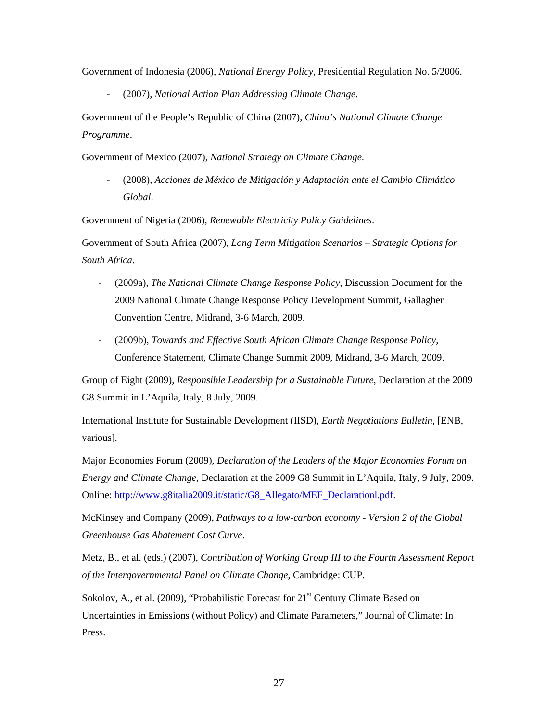Government of Indonesia (2006), *National Energy Policy*, Presidential Regulation No. 5/2006.

- (2007), *National Action Plan Addressing Climate Change*.

Government of the People's Republic of China (2007), *China's National Climate Change Programme*.

Government of Mexico (2007), *National Strategy on Climate Change*.

- (2008), *Acciones de México de Mitigación y Adaptación ante el Cambio Climático Global*.

Government of Nigeria (2006), *Renewable Electricity Policy Guidelines*.

Government of South Africa (2007), *Long Term Mitigation Scenarios – Strategic Options for South Africa*.

- (2009a), *The National Climate Change Response Policy*, Discussion Document for the 2009 National Climate Change Response Policy Development Summit, Gallagher Convention Centre, Midrand, 3-6 March, 2009.
- (2009b), *Towards and Effective South African Climate Change Response Policy*, Conference Statement, Climate Change Summit 2009, Midrand, 3-6 March, 2009.

Group of Eight (2009), *Responsible Leadership for a Sustainable Future*, Declaration at the 2009 G8 Summit in L'Aquila, Italy, 8 July, 2009.

International Institute for Sustainable Development (IISD), *Earth Negotiations Bulletin*, [ENB, various].

Major Economies Forum (2009), *Declaration of the Leaders of the Major Economies Forum on Energy and Climate Change*, Declaration at the 2009 G8 Summit in L'Aquila, Italy, 9 July, 2009. Online: [http://www.g8italia2009.it/static/G8\\_Allegato/MEF\\_Declarationl.pdf.](http://www.g8italia2009.it/static/G8_Allegato/MEF_Declarationl.pdf)

McKinsey and Company (2009), *Pathways to a low-carbon economy - Version 2 of the Global Greenhouse Gas Abatement Cost Curve*.

Metz, B., et al. (eds.) (2007), *Contribution of Working Group III to the Fourth Assessment Report of the Intergovernmental Panel on Climate Change*, Cambridge: CUP.

Sokolov, A., et al. (2009), "Probabilistic Forecast for  $21<sup>st</sup>$  Century Climate Based on Uncertainties in Emissions (without Policy) and Climate Parameters," Journal of Climate: In Press.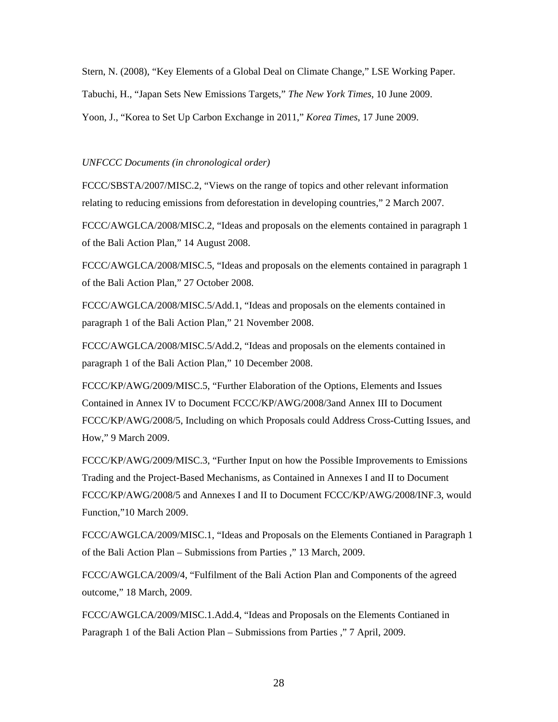Stern, N. (2008), "Key Elements of a Global Deal on Climate Change," LSE Working Paper. Tabuchi, H., "Japan Sets New Emissions Targets," *The New York Times*, 10 June 2009. Yoon, J., "Korea to Set Up Carbon Exchange in 2011," *Korea Times*, 17 June 2009.

#### *UNFCCC Documents (in chronological order)*

FCCC/SBSTA/2007/MISC.2, "Views on the range of topics and other relevant information relating to reducing emissions from deforestation in developing countries," 2 March 2007.

FCCC/AWGLCA/2008/MISC.2, "Ideas and proposals on the elements contained in paragraph 1 of the Bali Action Plan," 14 August 2008.

FCCC/AWGLCA/2008/MISC.5, "Ideas and proposals on the elements contained in paragraph 1 of the Bali Action Plan," 27 October 2008.

FCCC/AWGLCA/2008/MISC.5/Add.1, "Ideas and proposals on the elements contained in paragraph 1 of the Bali Action Plan," 21 November 2008.

FCCC/AWGLCA/2008/MISC.5/Add.2, "Ideas and proposals on the elements contained in paragraph 1 of the Bali Action Plan," 10 December 2008.

FCCC/KP/AWG/2009/MISC.5, "Further Elaboration of the Options, Elements and Issues Contained in Annex IV to Document FCCC/KP/AWG/2008/3and Annex III to Document FCCC/KP/AWG/2008/5, Including on which Proposals could Address Cross-Cutting Issues, and How," 9 March 2009.

FCCC/KP/AWG/2009/MISC.3, "Further Input on how the Possible Improvements to Emissions Trading and the Project-Based Mechanisms, as Contained in Annexes I and II to Document FCCC/KP/AWG/2008/5 and Annexes I and II to Document FCCC/KP/AWG/2008/INF.3, would Function,"10 March 2009.

FCCC/AWGLCA/2009/MISC.1, "Ideas and Proposals on the Elements Contianed in Paragraph 1 of the Bali Action Plan – Submissions from Parties ," 13 March, 2009.

FCCC/AWGLCA/2009/4, "Fulfilment of the Bali Action Plan and Components of the agreed outcome," 18 March, 2009.

FCCC/AWGLCA/2009/MISC.1.Add.4, "Ideas and Proposals on the Elements Contianed in Paragraph 1 of the Bali Action Plan – Submissions from Parties ," 7 April, 2009.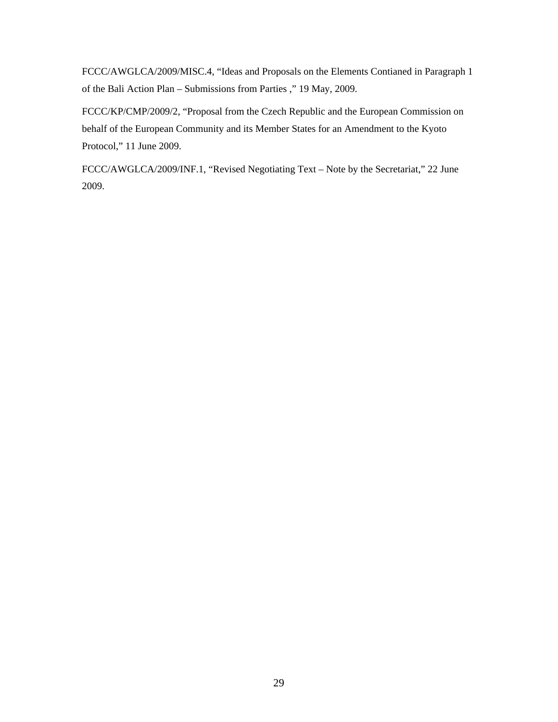FCCC/AWGLCA/2009/MISC.4, "Ideas and Proposals on the Elements Contianed in Paragraph 1 of the Bali Action Plan – Submissions from Parties ," 19 May, 2009.

FCCC/KP/CMP/2009/2, "Proposal from the Czech Republic and the European Commission on behalf of the European Community and its Member States for an Amendment to the Kyoto Protocol," 11 June 2009.

FCCC/AWGLCA/2009/INF.1, "Revised Negotiating Text – Note by the Secretariat," 22 June 2009.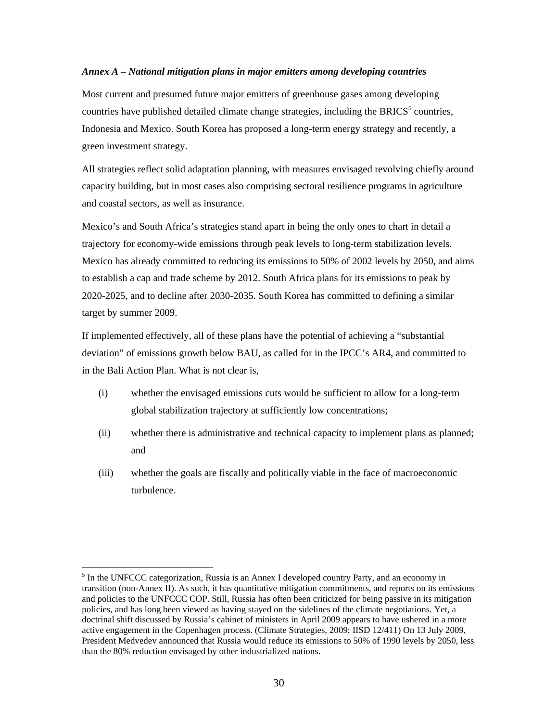## *Annex A – National mitigation plans in major emitters among developing countries*

Most current and presumed future major emitters of greenhouse gases among developing countries have published detailed climate change strategies, including the BRICS<sup>5</sup> countries, Indonesia and Mexico. South Korea has proposed a long-term energy strategy and recently, a green investment strategy.

All strategies reflect solid adaptation planning, with measures envisaged revolving chiefly around capacity building, but in most cases also comprising sectoral resilience programs in agriculture and coastal sectors, as well as insurance.

Mexico's and South Africa's strategies stand apart in being the only ones to chart in detail a trajectory for economy-wide emissions through peak levels to long-term stabilization levels. Mexico has already committed to reducing its emissions to 50% of 2002 levels by 2050, and aims to establish a cap and trade scheme by 2012. South Africa plans for its emissions to peak by 2020-2025, and to decline after 2030-2035. South Korea has committed to defining a similar target by summer 2009.

If implemented effectively, all of these plans have the potential of achieving a "substantial deviation" of emissions growth below BAU, as called for in the IPCC's AR4, and committed to in the Bali Action Plan. What is not clear is,

- (i) whether the envisaged emissions cuts would be sufficient to allow for a long-term global stabilization trajectory at sufficiently low concentrations;
- (ii) whether there is administrative and technical capacity to implement plans as planned; and
- (iii) whether the goals are fiscally and politically viable in the face of macroeconomic turbulence.

 $\overline{a}$ 

<sup>&</sup>lt;sup>5</sup> In the UNFCCC categorization, Russia is an Annex I developed country Party, and an economy in transition (non-Annex II). As such, it has quantitative mitigation commitments, and reports on its emissions and policies to the UNFCCC COP. Still, Russia has often been criticized for being passive in its mitigation policies, and has long been viewed as having stayed on the sidelines of the climate negotiations. Yet, a doctrinal shift discussed by Russia's cabinet of ministers in April 2009 appears to have ushered in a more active engagement in the Copenhagen process. (Climate Strategies, 2009; IISD 12/411) On 13 July 2009, President Medvedev announced that Russia would reduce its emissions to 50% of 1990 levels by 2050, less than the 80% reduction envisaged by other industrialized nations.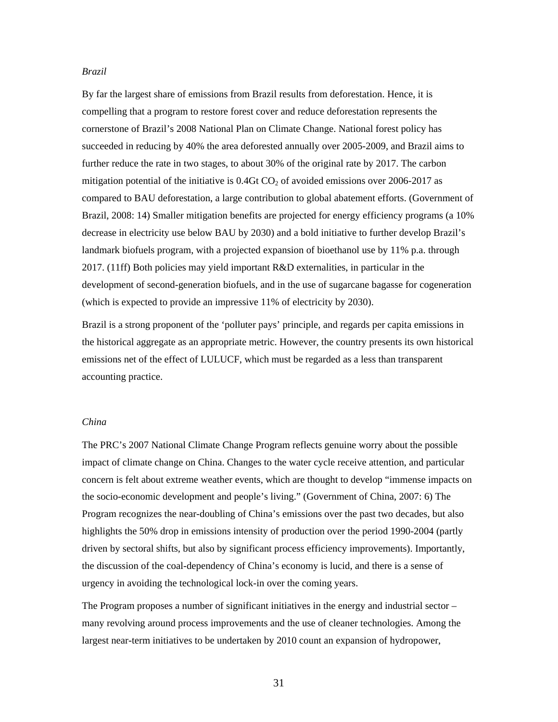#### *Brazil*

By far the largest share of emissions from Brazil results from deforestation. Hence, it is compelling that a program to restore forest cover and reduce deforestation represents the cornerstone of Brazil's 2008 National Plan on Climate Change. National forest policy has succeeded in reducing by 40% the area deforested annually over 2005-2009, and Brazil aims to further reduce the rate in two stages, to about 30% of the original rate by 2017. The carbon mitigation potential of the initiative is  $0.4GtCO<sub>2</sub>$  of avoided emissions over 2006-2017 as compared to BAU deforestation, a large contribution to global abatement efforts. (Government of Brazil, 2008: 14) Smaller mitigation benefits are projected for energy efficiency programs (a 10% decrease in electricity use below BAU by 2030) and a bold initiative to further develop Brazil's landmark biofuels program, with a projected expansion of bioethanol use by 11% p.a. through 2017. (11ff) Both policies may yield important R&D externalities, in particular in the development of second-generation biofuels, and in the use of sugarcane bagasse for cogeneration (which is expected to provide an impressive 11% of electricity by 2030).

Brazil is a strong proponent of the 'polluter pays' principle, and regards per capita emissions in the historical aggregate as an appropriate metric. However, the country presents its own historical emissions net of the effect of LULUCF, which must be regarded as a less than transparent accounting practice.

## *China*

The PRC's 2007 National Climate Change Program reflects genuine worry about the possible impact of climate change on China. Changes to the water cycle receive attention, and particular concern is felt about extreme weather events, which are thought to develop "immense impacts on the socio-economic development and people's living." (Government of China, 2007: 6) The Program recognizes the near-doubling of China's emissions over the past two decades, but also highlights the 50% drop in emissions intensity of production over the period 1990-2004 (partly driven by sectoral shifts, but also by significant process efficiency improvements). Importantly, the discussion of the coal-dependency of China's economy is lucid, and there is a sense of urgency in avoiding the technological lock-in over the coming years.

The Program proposes a number of significant initiatives in the energy and industrial sector – many revolving around process improvements and the use of cleaner technologies. Among the largest near-term initiatives to be undertaken by 2010 count an expansion of hydropower,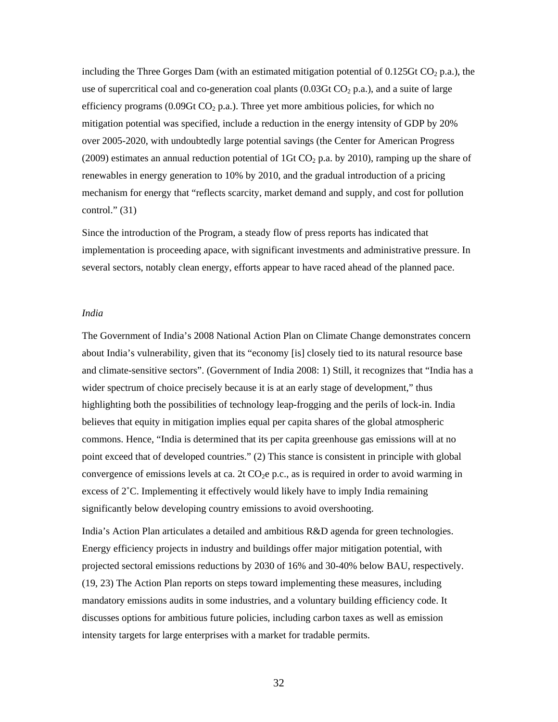including the Three Gorges Dam (with an estimated mitigation potential of  $0.125$ Gt CO<sub>2</sub> p.a.), the use of supercritical coal and co-generation coal plants  $(0.03\text{Gt CO}_2 \text{ p.a.})$ , and a suite of large efficiency programs (0.09Gt  $CO<sub>2</sub>$  p.a.). Three yet more ambitious policies, for which no mitigation potential was specified, include a reduction in the energy intensity of GDP by 20% over 2005-2020, with undoubtedly large potential savings (the Center for American Progress (2009) estimates an annual reduction potential of 1Gt  $CO<sub>2</sub>$  p.a. by 2010), ramping up the share of renewables in energy generation to 10% by 2010, and the gradual introduction of a pricing mechanism for energy that "reflects scarcity, market demand and supply, and cost for pollution control." $(31)$ 

Since the introduction of the Program, a steady flow of press reports has indicated that implementation is proceeding apace, with significant investments and administrative pressure. In several sectors, notably clean energy, efforts appear to have raced ahead of the planned pace.

#### *India*

The Government of India's 2008 National Action Plan on Climate Change demonstrates concern about India's vulnerability, given that its "economy [is] closely tied to its natural resource base and climate-sensitive sectors". (Government of India 2008: 1) Still, it recognizes that "India has a wider spectrum of choice precisely because it is at an early stage of development," thus highlighting both the possibilities of technology leap-frogging and the perils of lock-in. India believes that equity in mitigation implies equal per capita shares of the global atmospheric commons. Hence, "India is determined that its per capita greenhouse gas emissions will at no point exceed that of developed countries." (2) This stance is consistent in principle with global convergence of emissions levels at ca. 2t  $CO<sub>2</sub>e$  p.c., as is required in order to avoid warming in excess of 2˚C. Implementing it effectively would likely have to imply India remaining significantly below developing country emissions to avoid overshooting.

India's Action Plan articulates a detailed and ambitious R&D agenda for green technologies. Energy efficiency projects in industry and buildings offer major mitigation potential, with projected sectoral emissions reductions by 2030 of 16% and 30-40% below BAU, respectively. (19, 23) The Action Plan reports on steps toward implementing these measures, including mandatory emissions audits in some industries, and a voluntary building efficiency code. It discusses options for ambitious future policies, including carbon taxes as well as emission intensity targets for large enterprises with a market for tradable permits.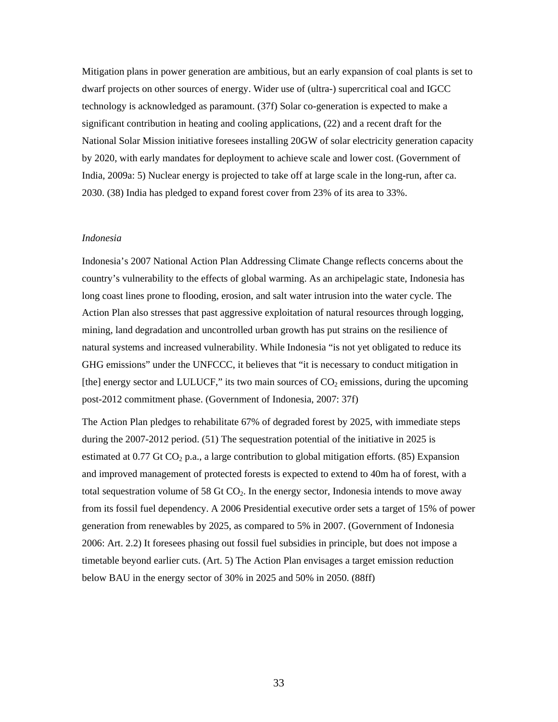Mitigation plans in power generation are ambitious, but an early expansion of coal plants is set to dwarf projects on other sources of energy. Wider use of (ultra-) supercritical coal and IGCC technology is acknowledged as paramount. (37f) Solar co-generation is expected to make a significant contribution in heating and cooling applications, (22) and a recent draft for the National Solar Mission initiative foresees installing 20GW of solar electricity generation capacity by 2020, with early mandates for deployment to achieve scale and lower cost. (Government of India, 2009a: 5) Nuclear energy is projected to take off at large scale in the long-run, after ca. 2030. (38) India has pledged to expand forest cover from 23% of its area to 33%.

#### *Indonesia*

Indonesia's 2007 National Action Plan Addressing Climate Change reflects concerns about the country's vulnerability to the effects of global warming. As an archipelagic state, Indonesia has long coast lines prone to flooding, erosion, and salt water intrusion into the water cycle. The Action Plan also stresses that past aggressive exploitation of natural resources through logging, mining, land degradation and uncontrolled urban growth has put strains on the resilience of natural systems and increased vulnerability. While Indonesia "is not yet obligated to reduce its GHG emissions" under the UNFCCC, it believes that "it is necessary to conduct mitigation in [the] energy sector and LULUCF," its two main sources of  $CO<sub>2</sub>$  emissions, during the upcoming post-2012 commitment phase. (Government of Indonesia, 2007: 37f)

The Action Plan pledges to rehabilitate 67% of degraded forest by 2025, with immediate steps during the 2007-2012 period. (51) The sequestration potential of the initiative in 2025 is estimated at 0.77 Gt  $CO<sub>2</sub>$  p.a., a large contribution to global mitigation efforts. (85) Expansion and improved management of protected forests is expected to extend to 40m ha of forest, with a total sequestration volume of 58 Gt  $CO<sub>2</sub>$ . In the energy sector, Indonesia intends to move away from its fossil fuel dependency. A 2006 Presidential executive order sets a target of 15% of power generation from renewables by 2025, as compared to 5% in 2007. (Government of Indonesia 2006: Art. 2.2) It foresees phasing out fossil fuel subsidies in principle, but does not impose a timetable beyond earlier cuts. (Art. 5) The Action Plan envisages a target emission reduction below BAU in the energy sector of 30% in 2025 and 50% in 2050. (88ff)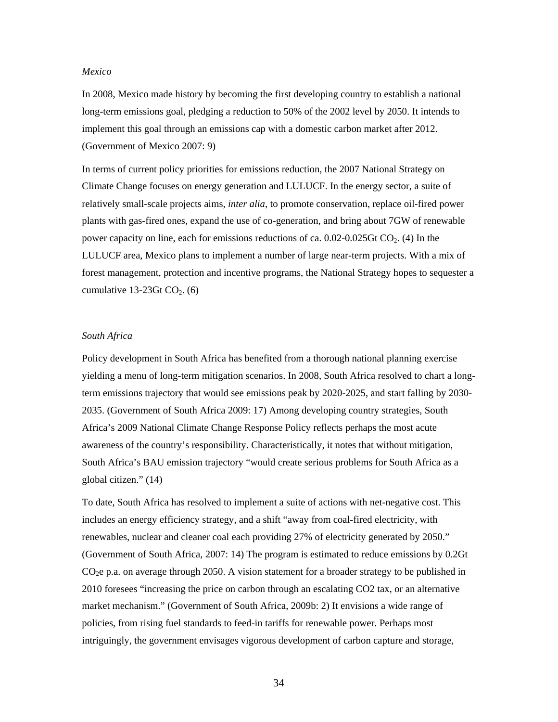#### *Mexico*

In 2008, Mexico made history by becoming the first developing country to establish a national long-term emissions goal, pledging a reduction to 50% of the 2002 level by 2050. It intends to implement this goal through an emissions cap with a domestic carbon market after 2012. (Government of Mexico 2007: 9)

In terms of current policy priorities for emissions reduction, the 2007 National Strategy on Climate Change focuses on energy generation and LULUCF. In the energy sector, a suite of relatively small-scale projects aims, *inter alia*, to promote conservation, replace oil-fired power plants with gas-fired ones, expand the use of co-generation, and bring about 7GW of renewable power capacity on line, each for emissions reductions of ca. 0.02-0.025Gt CO2. (4) In the LULUCF area, Mexico plans to implement a number of large near-term projects. With a mix of forest management, protection and incentive programs, the National Strategy hopes to sequester a cumulative 13-23Gt  $CO<sub>2</sub>$ . (6)

## *South Africa*

Policy development in South Africa has benefited from a thorough national planning exercise yielding a menu of long-term mitigation scenarios. In 2008, South Africa resolved to chart a longterm emissions trajectory that would see emissions peak by 2020-2025, and start falling by 2030- 2035. (Government of South Africa 2009: 17) Among developing country strategies, South Africa's 2009 National Climate Change Response Policy reflects perhaps the most acute awareness of the country's responsibility. Characteristically, it notes that without mitigation, South Africa's BAU emission trajectory "would create serious problems for South Africa as a global citizen." (14)

To date, South Africa has resolved to implement a suite of actions with net-negative cost. This includes an energy efficiency strategy, and a shift "away from coal-fired electricity, with renewables, nuclear and cleaner coal each providing 27% of electricity generated by 2050." (Government of South Africa, 2007: 14) The program is estimated to reduce emissions by 0.2Gt CO2e p.a. on average through 2050. A vision statement for a broader strategy to be published in 2010 foresees "increasing the price on carbon through an escalating CO2 tax, or an alternative market mechanism." (Government of South Africa, 2009b: 2) It envisions a wide range of policies, from rising fuel standards to feed-in tariffs for renewable power. Perhaps most intriguingly, the government envisages vigorous development of carbon capture and storage,